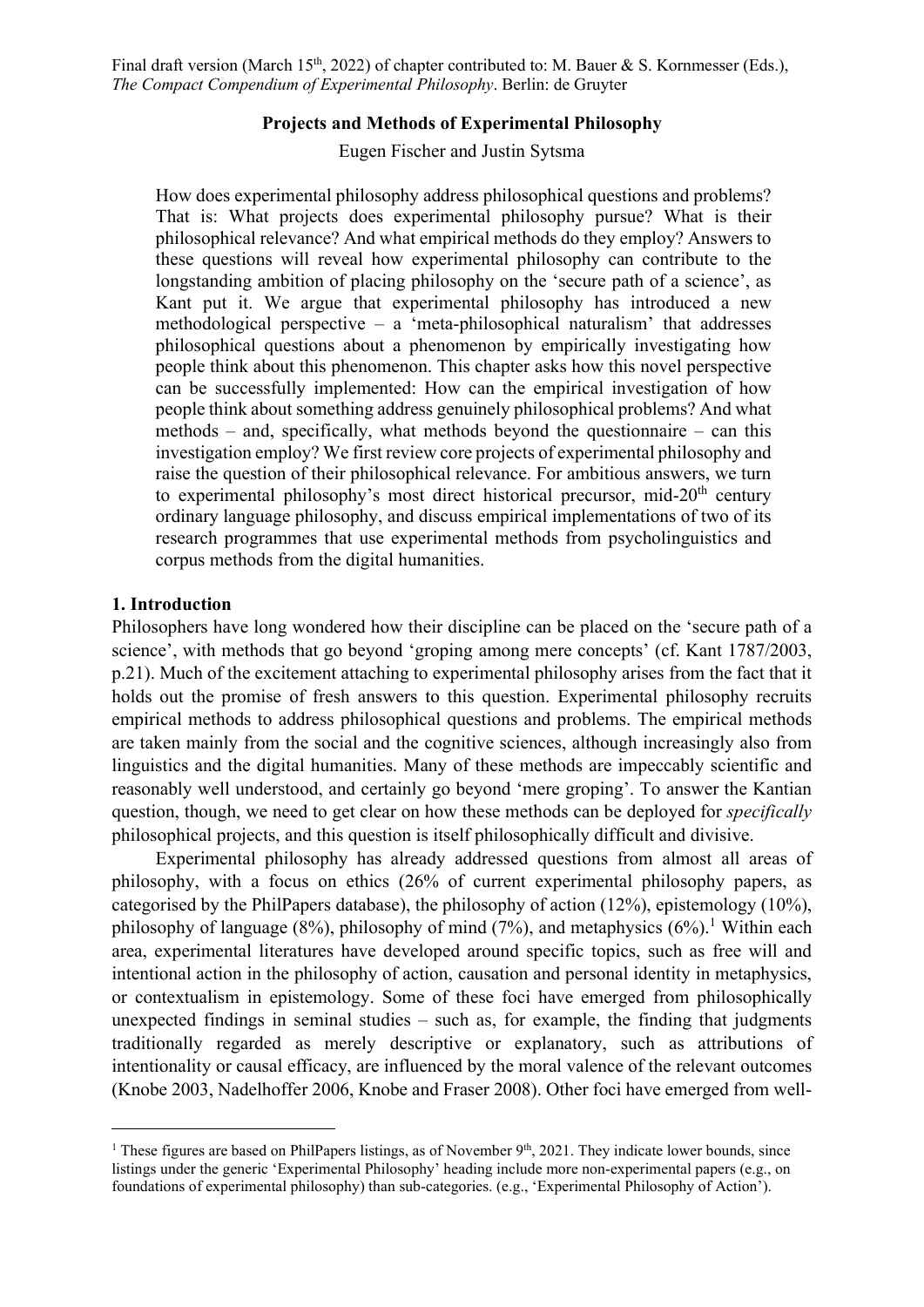Final draft version (March 15<sup>th</sup>, 2022) of chapter contributed to: M. Bauer & S. Kornmesser (Eds.), The Compact Compendium of Experimental Philosophy. Berlin: de Gruyter

#### Projects and Methods of Experimental Philosophy

Eugen Fischer and Justin Sytsma

How does experimental philosophy address philosophical questions and problems? That is: What projects does experimental philosophy pursue? What is their philosophical relevance? And what empirical methods do they employ? Answers to these questions will reveal how experimental philosophy can contribute to the longstanding ambition of placing philosophy on the 'secure path of a science', as Kant put it. We argue that experimental philosophy has introduced a new methodological perspective – a 'meta-philosophical naturalism' that addresses philosophical questions about a phenomenon by empirically investigating how people think about this phenomenon. This chapter asks how this novel perspective can be successfully implemented: How can the empirical investigation of how people think about something address genuinely philosophical problems? And what methods – and, specifically, what methods beyond the questionnaire – can this investigation employ? We first review core projects of experimental philosophy and raise the question of their philosophical relevance. For ambitious answers, we turn to experimental philosophy's most direct historical precursor, mid- $20<sup>th</sup>$  century ordinary language philosophy, and discuss empirical implementations of two of its research programmes that use experimental methods from psycholinguistics and corpus methods from the digital humanities.

### 1. Introduction

Philosophers have long wondered how their discipline can be placed on the 'secure path of a science', with methods that go beyond 'groping among mere concepts' (cf. Kant 1787/2003, p.21). Much of the excitement attaching to experimental philosophy arises from the fact that it holds out the promise of fresh answers to this question. Experimental philosophy recruits empirical methods to address philosophical questions and problems. The empirical methods are taken mainly from the social and the cognitive sciences, although increasingly also from linguistics and the digital humanities. Many of these methods are impeccably scientific and reasonably well understood, and certainly go beyond 'mere groping'. To answer the Kantian question, though, we need to get clear on how these methods can be deployed for *specifically* philosophical projects, and this question is itself philosophically difficult and divisive.

Experimental philosophy has already addressed questions from almost all areas of philosophy, with a focus on ethics (26% of current experimental philosophy papers, as categorised by the PhilPapers database), the philosophy of action (12%), epistemology (10%), philosophy of language  $(8\%)$ , philosophy of mind  $(7\%)$ , and metaphysics  $(6\%)$ .<sup>1</sup> Within each area, experimental literatures have developed around specific topics, such as free will and intentional action in the philosophy of action, causation and personal identity in metaphysics, or contextualism in epistemology. Some of these foci have emerged from philosophically unexpected findings in seminal studies – such as, for example, the finding that judgments traditionally regarded as merely descriptive or explanatory, such as attributions of intentionality or causal efficacy, are influenced by the moral valence of the relevant outcomes (Knobe 2003, Nadelhoffer 2006, Knobe and Fraser 2008). Other foci have emerged from well-

<sup>&</sup>lt;sup>1</sup> These figures are based on PhilPapers listings, as of November  $9<sup>th</sup>$ , 2021. They indicate lower bounds, since listings under the generic 'Experimental Philosophy' heading include more non-experimental papers (e.g., on foundations of experimental philosophy) than sub-categories. (e.g., 'Experimental Philosophy of Action').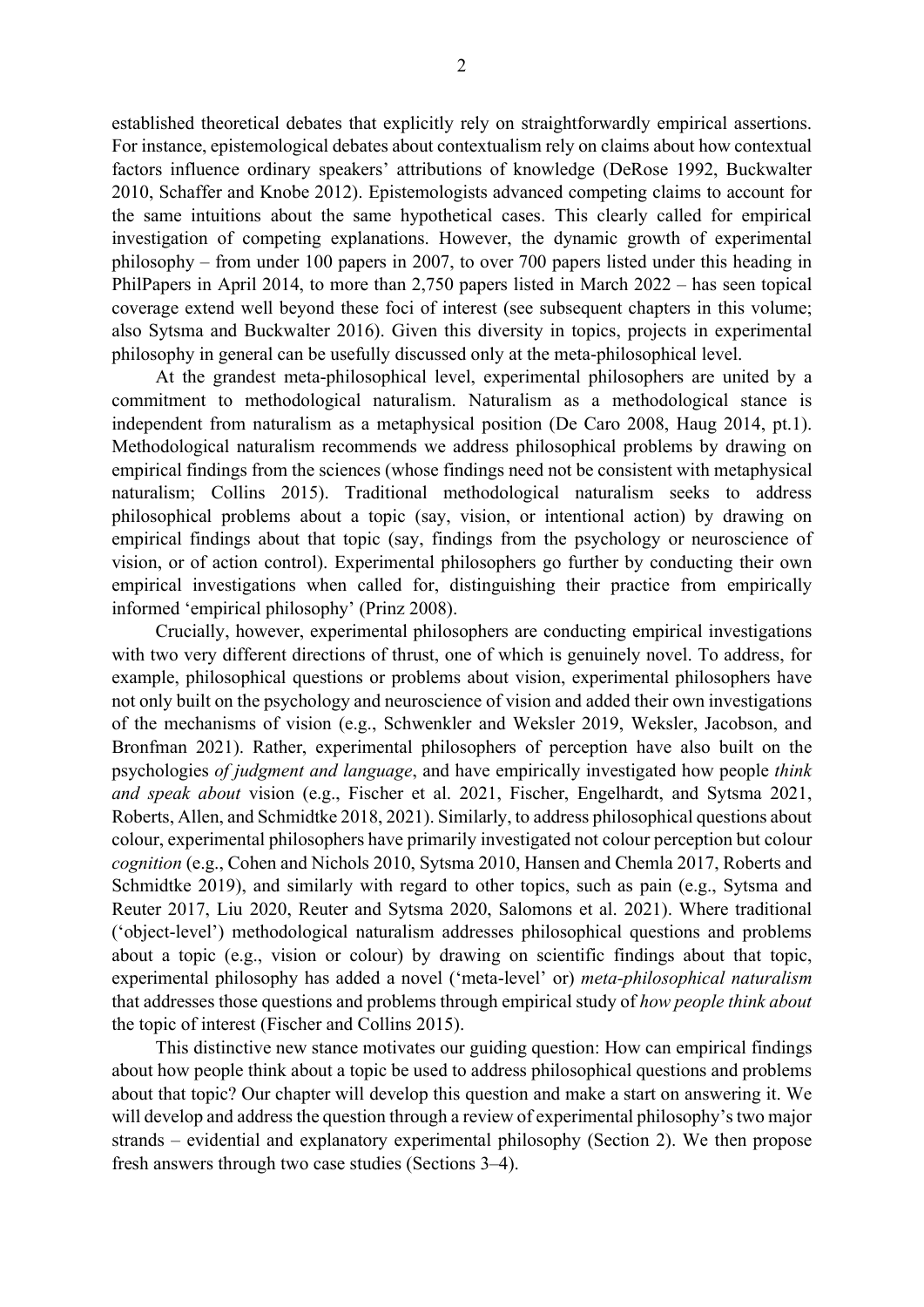established theoretical debates that explicitly rely on straightforwardly empirical assertions. For instance, epistemological debates about contextualism rely on claims about how contextual factors influence ordinary speakers' attributions of knowledge (DeRose 1992, Buckwalter 2010, Schaffer and Knobe 2012). Epistemologists advanced competing claims to account for the same intuitions about the same hypothetical cases. This clearly called for empirical investigation of competing explanations. However, the dynamic growth of experimental philosophy – from under 100 papers in 2007, to over 700 papers listed under this heading in PhilPapers in April 2014, to more than 2,750 papers listed in March 2022 – has seen topical coverage extend well beyond these foci of interest (see subsequent chapters in this volume; also Sytsma and Buckwalter 2016). Given this diversity in topics, projects in experimental philosophy in general can be usefully discussed only at the meta-philosophical level.

At the grandest meta-philosophical level, experimental philosophers are united by a commitment to methodological naturalism. Naturalism as a methodological stance is independent from naturalism as a metaphysical position (De Caro 2008, Haug 2014, pt.1). Methodological naturalism recommends we address philosophical problems by drawing on empirical findings from the sciences (whose findings need not be consistent with metaphysical naturalism; Collins 2015). Traditional methodological naturalism seeks to address philosophical problems about a topic (say, vision, or intentional action) by drawing on empirical findings about that topic (say, findings from the psychology or neuroscience of vision, or of action control). Experimental philosophers go further by conducting their own empirical investigations when called for, distinguishing their practice from empirically informed 'empirical philosophy' (Prinz 2008).

Crucially, however, experimental philosophers are conducting empirical investigations with two very different directions of thrust, one of which is genuinely novel. To address, for example, philosophical questions or problems about vision, experimental philosophers have not only built on the psychology and neuroscience of vision and added their own investigations of the mechanisms of vision (e.g., Schwenkler and Weksler 2019, Weksler, Jacobson, and Bronfman 2021). Rather, experimental philosophers of perception have also built on the psychologies of judgment and language, and have empirically investigated how people think and speak about vision (e.g., Fischer et al. 2021, Fischer, Engelhardt, and Sytsma 2021, Roberts, Allen, and Schmidtke 2018, 2021). Similarly, to address philosophical questions about colour, experimental philosophers have primarily investigated not colour perception but colour cognition (e.g., Cohen and Nichols 2010, Sytsma 2010, Hansen and Chemla 2017, Roberts and Schmidtke 2019), and similarly with regard to other topics, such as pain (e.g., Sytsma and Reuter 2017, Liu 2020, Reuter and Sytsma 2020, Salomons et al. 2021). Where traditional ('object-level') methodological naturalism addresses philosophical questions and problems about a topic (e.g., vision or colour) by drawing on scientific findings about that topic, experimental philosophy has added a novel ('meta-level' or) meta-philosophical naturalism that addresses those questions and problems through empirical study of how people think about the topic of interest (Fischer and Collins 2015).

This distinctive new stance motivates our guiding question: How can empirical findings about how people think about a topic be used to address philosophical questions and problems about that topic? Our chapter will develop this question and make a start on answering it. We will develop and address the question through a review of experimental philosophy's two major strands – evidential and explanatory experimental philosophy (Section 2). We then propose fresh answers through two case studies (Sections 3–4).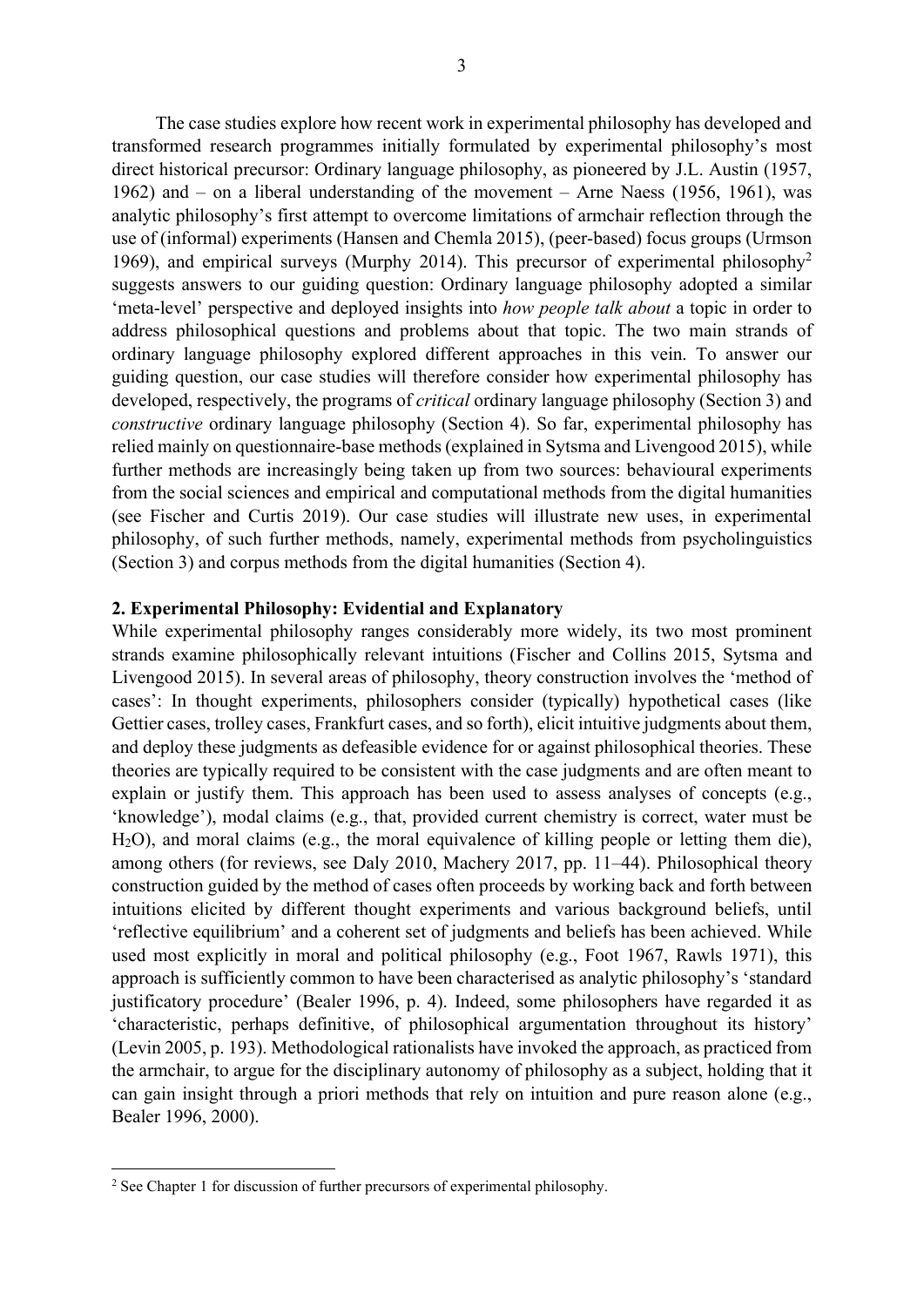The case studies explore how recent work in experimental philosophy has developed and transformed research programmes initially formulated by experimental philosophy's most direct historical precursor: Ordinary language philosophy, as pioneered by J.L. Austin (1957, 1962) and – on a liberal understanding of the movement – Arne Naess (1956, 1961), was analytic philosophy's first attempt to overcome limitations of armchair reflection through the use of (informal) experiments (Hansen and Chemla 2015), (peer-based) focus groups (Urmson 1969), and empirical surveys (Murphy 2014). This precursor of experimental philosophy<sup>2</sup> suggests answers to our guiding question: Ordinary language philosophy adopted a similar 'meta-level' perspective and deployed insights into how people talk about a topic in order to address philosophical questions and problems about that topic. The two main strands of ordinary language philosophy explored different approaches in this vein. To answer our guiding question, our case studies will therefore consider how experimental philosophy has developed, respectively, the programs of *critical* ordinary language philosophy (Section 3) and constructive ordinary language philosophy (Section 4). So far, experimental philosophy has relied mainly on questionnaire-base methods (explained in Sytsma and Livengood 2015), while further methods are increasingly being taken up from two sources: behavioural experiments from the social sciences and empirical and computational methods from the digital humanities (see Fischer and Curtis 2019). Our case studies will illustrate new uses, in experimental philosophy, of such further methods, namely, experimental methods from psycholinguistics (Section 3) and corpus methods from the digital humanities (Section 4).

## 2. Experimental Philosophy: Evidential and Explanatory

While experimental philosophy ranges considerably more widely, its two most prominent strands examine philosophically relevant intuitions (Fischer and Collins 2015, Sytsma and Livengood 2015). In several areas of philosophy, theory construction involves the 'method of cases': In thought experiments, philosophers consider (typically) hypothetical cases (like Gettier cases, trolley cases, Frankfurt cases, and so forth), elicit intuitive judgments about them, and deploy these judgments as defeasible evidence for or against philosophical theories. These theories are typically required to be consistent with the case judgments and are often meant to explain or justify them. This approach has been used to assess analyses of concepts (e.g., 'knowledge'), modal claims (e.g., that, provided current chemistry is correct, water must be H2O), and moral claims (e.g., the moral equivalence of killing people or letting them die), among others (for reviews, see Daly 2010, Machery 2017, pp. 11–44). Philosophical theory construction guided by the method of cases often proceeds by working back and forth between intuitions elicited by different thought experiments and various background beliefs, until 'reflective equilibrium' and a coherent set of judgments and beliefs has been achieved. While used most explicitly in moral and political philosophy (e.g., Foot 1967, Rawls 1971), this approach is sufficiently common to have been characterised as analytic philosophy's 'standard justificatory procedure' (Bealer 1996, p. 4). Indeed, some philosophers have regarded it as 'characteristic, perhaps definitive, of philosophical argumentation throughout its history' (Levin 2005, p. 193). Methodological rationalists have invoked the approach, as practiced from the armchair, to argue for the disciplinary autonomy of philosophy as a subject, holding that it can gain insight through a priori methods that rely on intuition and pure reason alone (e.g., Bealer 1996, 2000).

<sup>&</sup>lt;sup>2</sup> See Chapter 1 for discussion of further precursors of experimental philosophy.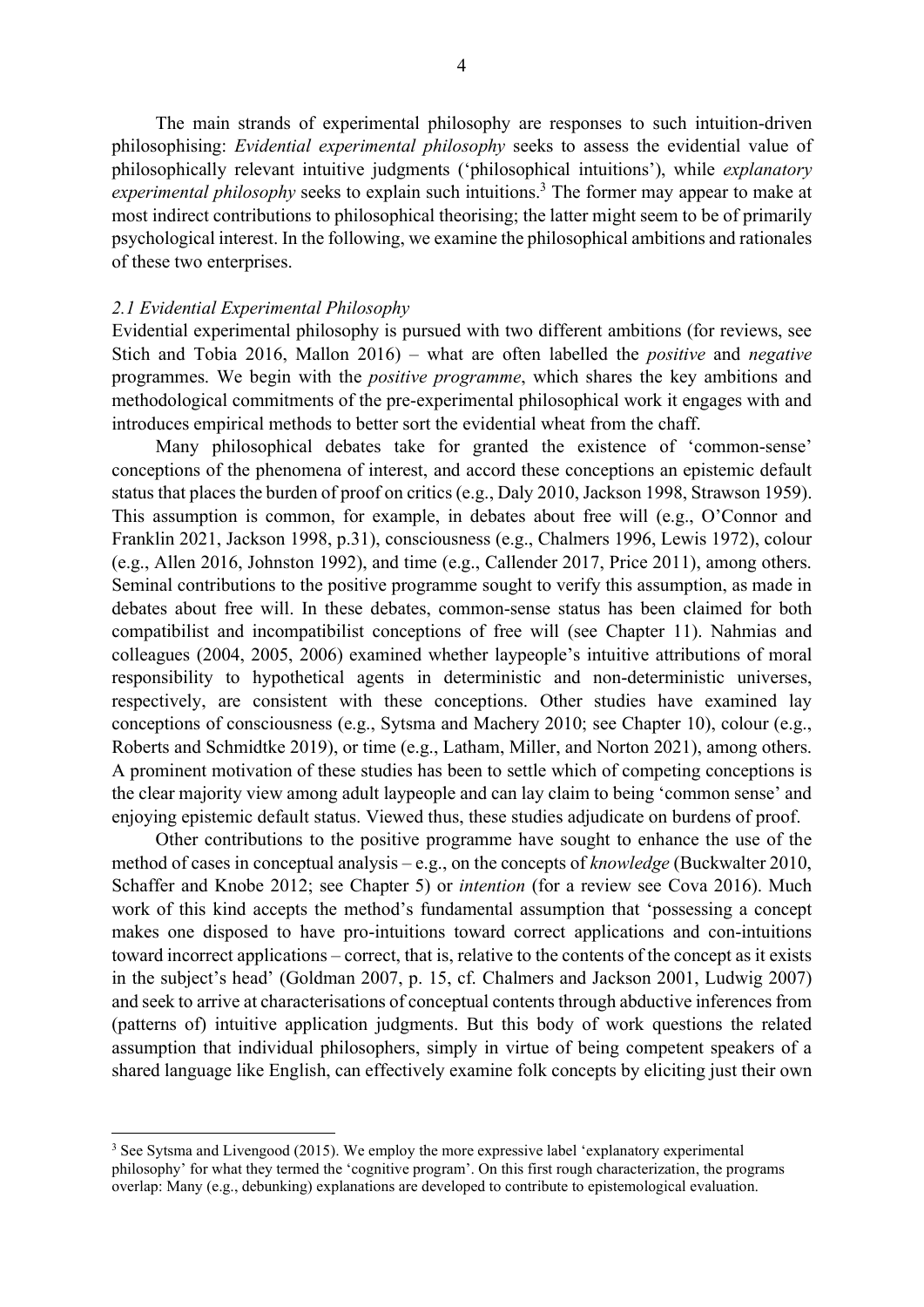The main strands of experimental philosophy are responses to such intuition-driven philosophising: Evidential experimental philosophy seeks to assess the evidential value of philosophically relevant intuitive judgments ('philosophical intuitions'), while explanatory experimental philosophy seeks to explain such intuitions.<sup>3</sup> The former may appear to make at most indirect contributions to philosophical theorising; the latter might seem to be of primarily psychological interest. In the following, we examine the philosophical ambitions and rationales of these two enterprises.

### 2.1 Evidential Experimental Philosophy

Evidential experimental philosophy is pursued with two different ambitions (for reviews, see Stich and Tobia 2016, Mallon 2016) – what are often labelled the positive and negative programmes. We begin with the positive programme, which shares the key ambitions and methodological commitments of the pre-experimental philosophical work it engages with and introduces empirical methods to better sort the evidential wheat from the chaff.

Many philosophical debates take for granted the existence of 'common-sense' conceptions of the phenomena of interest, and accord these conceptions an epistemic default status that places the burden of proof on critics (e.g., Daly 2010, Jackson 1998, Strawson 1959). This assumption is common, for example, in debates about free will (e.g., O'Connor and Franklin 2021, Jackson 1998, p.31), consciousness (e.g., Chalmers 1996, Lewis 1972), colour (e.g., Allen 2016, Johnston 1992), and time (e.g., Callender 2017, Price 2011), among others. Seminal contributions to the positive programme sought to verify this assumption, as made in debates about free will. In these debates, common-sense status has been claimed for both compatibilist and incompatibilist conceptions of free will (see Chapter 11). Nahmias and colleagues (2004, 2005, 2006) examined whether laypeople's intuitive attributions of moral responsibility to hypothetical agents in deterministic and non-deterministic universes, respectively, are consistent with these conceptions. Other studies have examined lay conceptions of consciousness (e.g., Sytsma and Machery 2010; see Chapter 10), colour (e.g., Roberts and Schmidtke 2019), or time (e.g., Latham, Miller, and Norton 2021), among others. A prominent motivation of these studies has been to settle which of competing conceptions is the clear majority view among adult laypeople and can lay claim to being 'common sense' and enjoying epistemic default status. Viewed thus, these studies adjudicate on burdens of proof.

Other contributions to the positive programme have sought to enhance the use of the method of cases in conceptual analysis – e.g., on the concepts of *knowledge* (Buckwalter 2010, Schaffer and Knobe 2012; see Chapter 5) or intention (for a review see Cova 2016). Much work of this kind accepts the method's fundamental assumption that 'possessing a concept makes one disposed to have pro-intuitions toward correct applications and con-intuitions toward incorrect applications – correct, that is, relative to the contents of the concept as it exists in the subject's head' (Goldman 2007, p. 15, cf. Chalmers and Jackson 2001, Ludwig 2007) and seek to arrive at characterisations of conceptual contents through abductive inferences from (patterns of) intuitive application judgments. But this body of work questions the related assumption that individual philosophers, simply in virtue of being competent speakers of a shared language like English, can effectively examine folk concepts by eliciting just their own

<sup>&</sup>lt;sup>3</sup> See Sytsma and Livengood (2015). We employ the more expressive label 'explanatory experimental philosophy' for what they termed the 'cognitive program'. On this first rough characterization, the programs overlap: Many (e.g., debunking) explanations are developed to contribute to epistemological evaluation.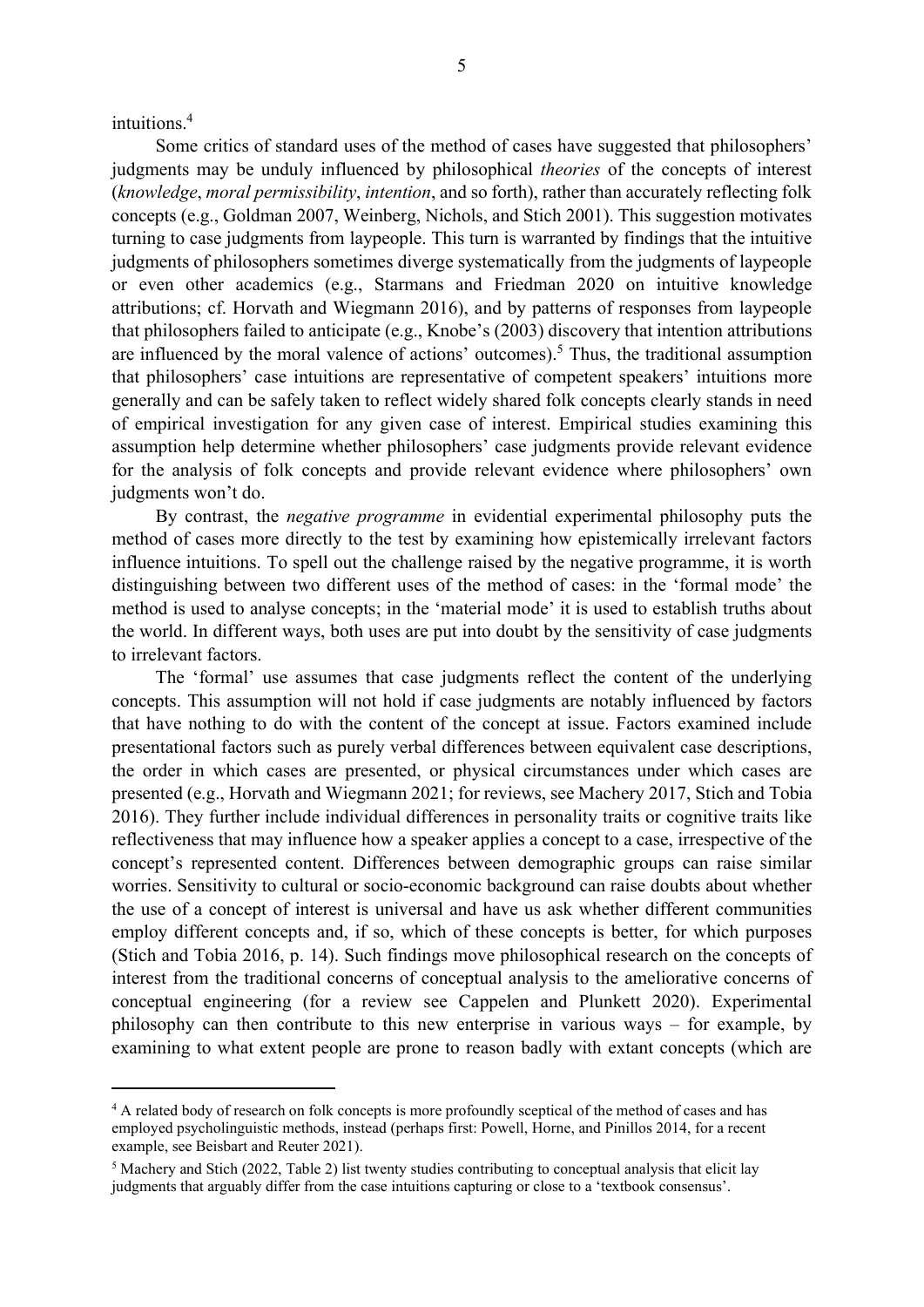intuitions.<sup>4</sup>

Some critics of standard uses of the method of cases have suggested that philosophers' judgments may be unduly influenced by philosophical theories of the concepts of interest (knowledge, moral permissibility, intention, and so forth), rather than accurately reflecting folk concepts (e.g., Goldman 2007, Weinberg, Nichols, and Stich 2001). This suggestion motivates turning to case judgments from laypeople. This turn is warranted by findings that the intuitive judgments of philosophers sometimes diverge systematically from the judgments of laypeople or even other academics (e.g., Starmans and Friedman 2020 on intuitive knowledge attributions; cf. Horvath and Wiegmann 2016), and by patterns of responses from laypeople that philosophers failed to anticipate (e.g., Knobe's (2003) discovery that intention attributions are influenced by the moral valence of actions' outcomes).<sup>5</sup> Thus, the traditional assumption that philosophers' case intuitions are representative of competent speakers' intuitions more generally and can be safely taken to reflect widely shared folk concepts clearly stands in need of empirical investigation for any given case of interest. Empirical studies examining this assumption help determine whether philosophers' case judgments provide relevant evidence for the analysis of folk concepts and provide relevant evidence where philosophers' own judgments won't do.

By contrast, the *negative programme* in evidential experimental philosophy puts the method of cases more directly to the test by examining how epistemically irrelevant factors influence intuitions. To spell out the challenge raised by the negative programme, it is worth distinguishing between two different uses of the method of cases: in the 'formal mode' the method is used to analyse concepts; in the 'material mode' it is used to establish truths about the world. In different ways, both uses are put into doubt by the sensitivity of case judgments to irrelevant factors.

The 'formal' use assumes that case judgments reflect the content of the underlying concepts. This assumption will not hold if case judgments are notably influenced by factors that have nothing to do with the content of the concept at issue. Factors examined include presentational factors such as purely verbal differences between equivalent case descriptions, the order in which cases are presented, or physical circumstances under which cases are presented (e.g., Horvath and Wiegmann 2021; for reviews, see Machery 2017, Stich and Tobia 2016). They further include individual differences in personality traits or cognitive traits like reflectiveness that may influence how a speaker applies a concept to a case, irrespective of the concept's represented content. Differences between demographic groups can raise similar worries. Sensitivity to cultural or socio-economic background can raise doubts about whether the use of a concept of interest is universal and have us ask whether different communities employ different concepts and, if so, which of these concepts is better, for which purposes (Stich and Tobia 2016, p. 14). Such findings move philosophical research on the concepts of interest from the traditional concerns of conceptual analysis to the ameliorative concerns of conceptual engineering (for a review see Cappelen and Plunkett 2020). Experimental philosophy can then contribute to this new enterprise in various ways – for example, by examining to what extent people are prone to reason badly with extant concepts (which are

<sup>&</sup>lt;sup>4</sup> A related body of research on folk concepts is more profoundly sceptical of the method of cases and has employed psycholinguistic methods, instead (perhaps first: Powell, Horne, and Pinillos 2014, for a recent example, see Beisbart and Reuter 2021).

<sup>&</sup>lt;sup>5</sup> Machery and Stich (2022, Table 2) list twenty studies contributing to conceptual analysis that elicit lay judgments that arguably differ from the case intuitions capturing or close to a 'textbook consensus'.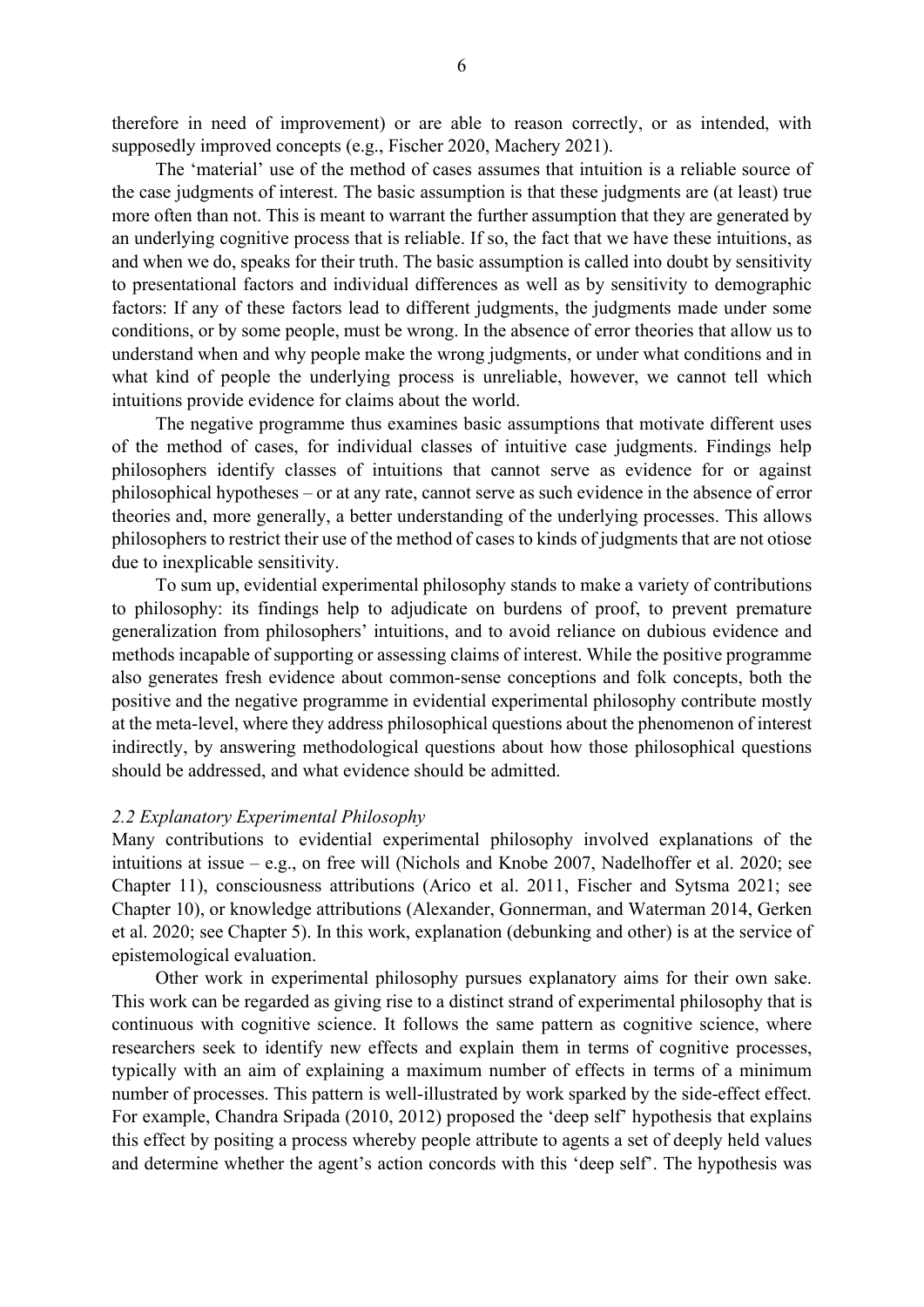therefore in need of improvement) or are able to reason correctly, or as intended, with supposedly improved concepts (e.g., Fischer 2020, Machery 2021).

The 'material' use of the method of cases assumes that intuition is a reliable source of the case judgments of interest. The basic assumption is that these judgments are (at least) true more often than not. This is meant to warrant the further assumption that they are generated by an underlying cognitive process that is reliable. If so, the fact that we have these intuitions, as and when we do, speaks for their truth. The basic assumption is called into doubt by sensitivity to presentational factors and individual differences as well as by sensitivity to demographic factors: If any of these factors lead to different judgments, the judgments made under some conditions, or by some people, must be wrong. In the absence of error theories that allow us to understand when and why people make the wrong judgments, or under what conditions and in what kind of people the underlying process is unreliable, however, we cannot tell which intuitions provide evidence for claims about the world.

The negative programme thus examines basic assumptions that motivate different uses of the method of cases, for individual classes of intuitive case judgments. Findings help philosophers identify classes of intuitions that cannot serve as evidence for or against philosophical hypotheses – or at any rate, cannot serve as such evidence in the absence of error theories and, more generally, a better understanding of the underlying processes. This allows philosophers to restrict their use of the method of cases to kinds of judgments that are not otiose due to inexplicable sensitivity.

To sum up, evidential experimental philosophy stands to make a variety of contributions to philosophy: its findings help to adjudicate on burdens of proof, to prevent premature generalization from philosophers' intuitions, and to avoid reliance on dubious evidence and methods incapable of supporting or assessing claims of interest. While the positive programme also generates fresh evidence about common-sense conceptions and folk concepts, both the positive and the negative programme in evidential experimental philosophy contribute mostly at the meta-level, where they address philosophical questions about the phenomenon of interest indirectly, by answering methodological questions about how those philosophical questions should be addressed, and what evidence should be admitted.

#### 2.2 Explanatory Experimental Philosophy

Many contributions to evidential experimental philosophy involved explanations of the intuitions at issue – e.g., on free will (Nichols and Knobe 2007, Nadelhoffer et al. 2020; see Chapter 11), consciousness attributions (Arico et al. 2011, Fischer and Sytsma 2021; see Chapter 10), or knowledge attributions (Alexander, Gonnerman, and Waterman 2014, Gerken et al. 2020; see Chapter 5). In this work, explanation (debunking and other) is at the service of epistemological evaluation.

Other work in experimental philosophy pursues explanatory aims for their own sake. This work can be regarded as giving rise to a distinct strand of experimental philosophy that is continuous with cognitive science. It follows the same pattern as cognitive science, where researchers seek to identify new effects and explain them in terms of cognitive processes, typically with an aim of explaining a maximum number of effects in terms of a minimum number of processes. This pattern is well-illustrated by work sparked by the side-effect effect. For example, Chandra Sripada (2010, 2012) proposed the 'deep self' hypothesis that explains this effect by positing a process whereby people attribute to agents a set of deeply held values and determine whether the agent's action concords with this 'deep self'. The hypothesis was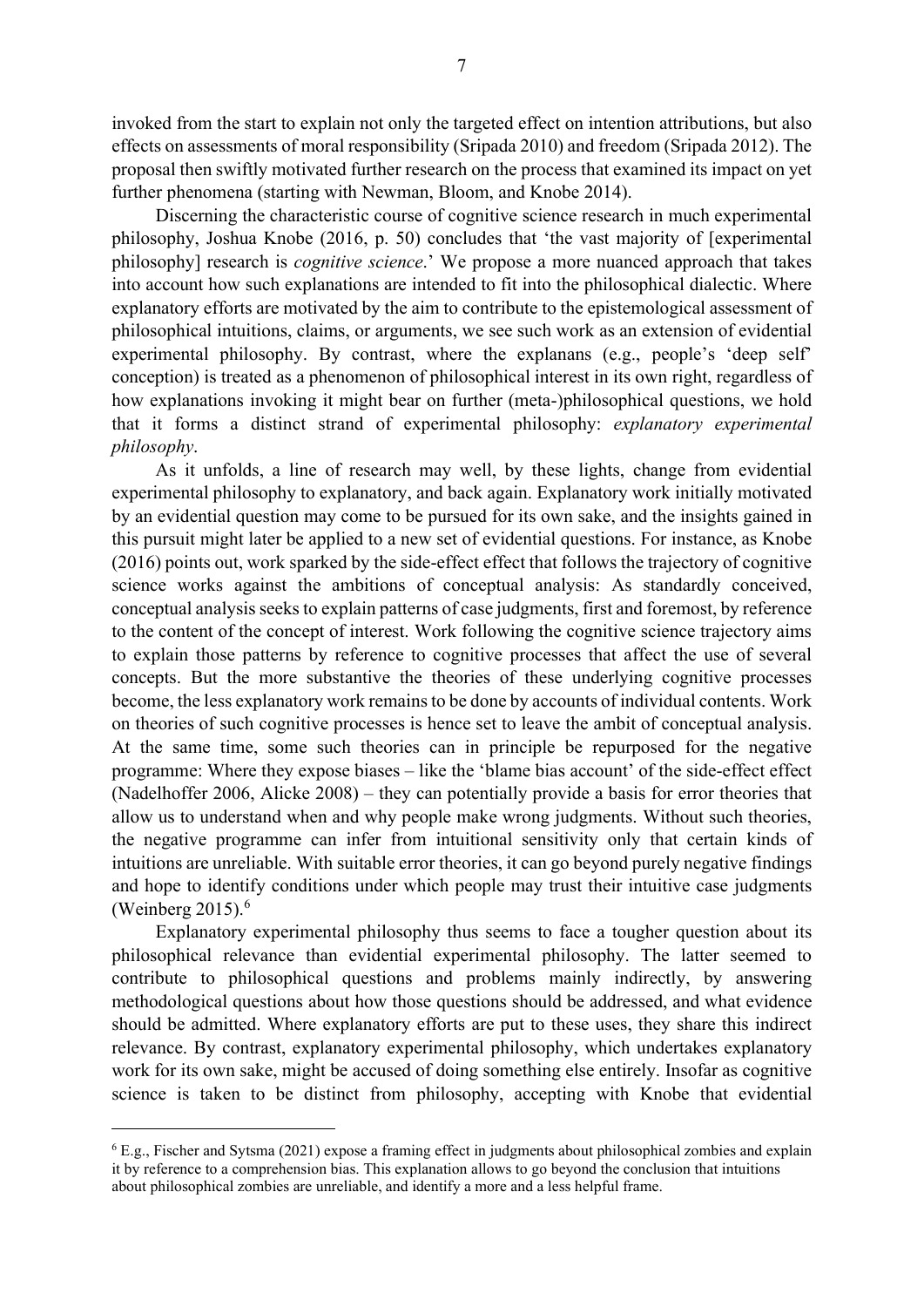invoked from the start to explain not only the targeted effect on intention attributions, but also effects on assessments of moral responsibility (Sripada 2010) and freedom (Sripada 2012). The proposal then swiftly motivated further research on the process that examined its impact on yet further phenomena (starting with Newman, Bloom, and Knobe 2014).

Discerning the characteristic course of cognitive science research in much experimental philosophy, Joshua Knobe (2016, p. 50) concludes that 'the vast majority of [experimental philosophy] research is *cognitive science*.' We propose a more nuanced approach that takes into account how such explanations are intended to fit into the philosophical dialectic. Where explanatory efforts are motivated by the aim to contribute to the epistemological assessment of philosophical intuitions, claims, or arguments, we see such work as an extension of evidential experimental philosophy. By contrast, where the explanans (e.g., people's 'deep self' conception) is treated as a phenomenon of philosophical interest in its own right, regardless of how explanations invoking it might bear on further (meta-)philosophical questions, we hold that it forms a distinct strand of experimental philosophy: explanatory experimental philosophy.

As it unfolds, a line of research may well, by these lights, change from evidential experimental philosophy to explanatory, and back again. Explanatory work initially motivated by an evidential question may come to be pursued for its own sake, and the insights gained in this pursuit might later be applied to a new set of evidential questions. For instance, as Knobe (2016) points out, work sparked by the side-effect effect that follows the trajectory of cognitive science works against the ambitions of conceptual analysis: As standardly conceived, conceptual analysis seeks to explain patterns of case judgments, first and foremost, by reference to the content of the concept of interest. Work following the cognitive science trajectory aims to explain those patterns by reference to cognitive processes that affect the use of several concepts. But the more substantive the theories of these underlying cognitive processes become, the less explanatory work remains to be done by accounts of individual contents. Work on theories of such cognitive processes is hence set to leave the ambit of conceptual analysis. At the same time, some such theories can in principle be repurposed for the negative programme: Where they expose biases – like the 'blame bias account' of the side-effect effect (Nadelhoffer 2006, Alicke 2008) – they can potentially provide a basis for error theories that allow us to understand when and why people make wrong judgments. Without such theories, the negative programme can infer from intuitional sensitivity only that certain kinds of intuitions are unreliable. With suitable error theories, it can go beyond purely negative findings and hope to identify conditions under which people may trust their intuitive case judgments (Weinberg  $2015$ ).<sup>6</sup>

Explanatory experimental philosophy thus seems to face a tougher question about its philosophical relevance than evidential experimental philosophy. The latter seemed to contribute to philosophical questions and problems mainly indirectly, by answering methodological questions about how those questions should be addressed, and what evidence should be admitted. Where explanatory efforts are put to these uses, they share this indirect relevance. By contrast, explanatory experimental philosophy, which undertakes explanatory work for its own sake, might be accused of doing something else entirely. Insofar as cognitive science is taken to be distinct from philosophy, accepting with Knobe that evidential

<sup>&</sup>lt;sup>6</sup> E.g., Fischer and Sytsma (2021) expose a framing effect in judgments about philosophical zombies and explain it by reference to a comprehension bias. This explanation allows to go beyond the conclusion that intuitions about philosophical zombies are unreliable, and identify a more and a less helpful frame.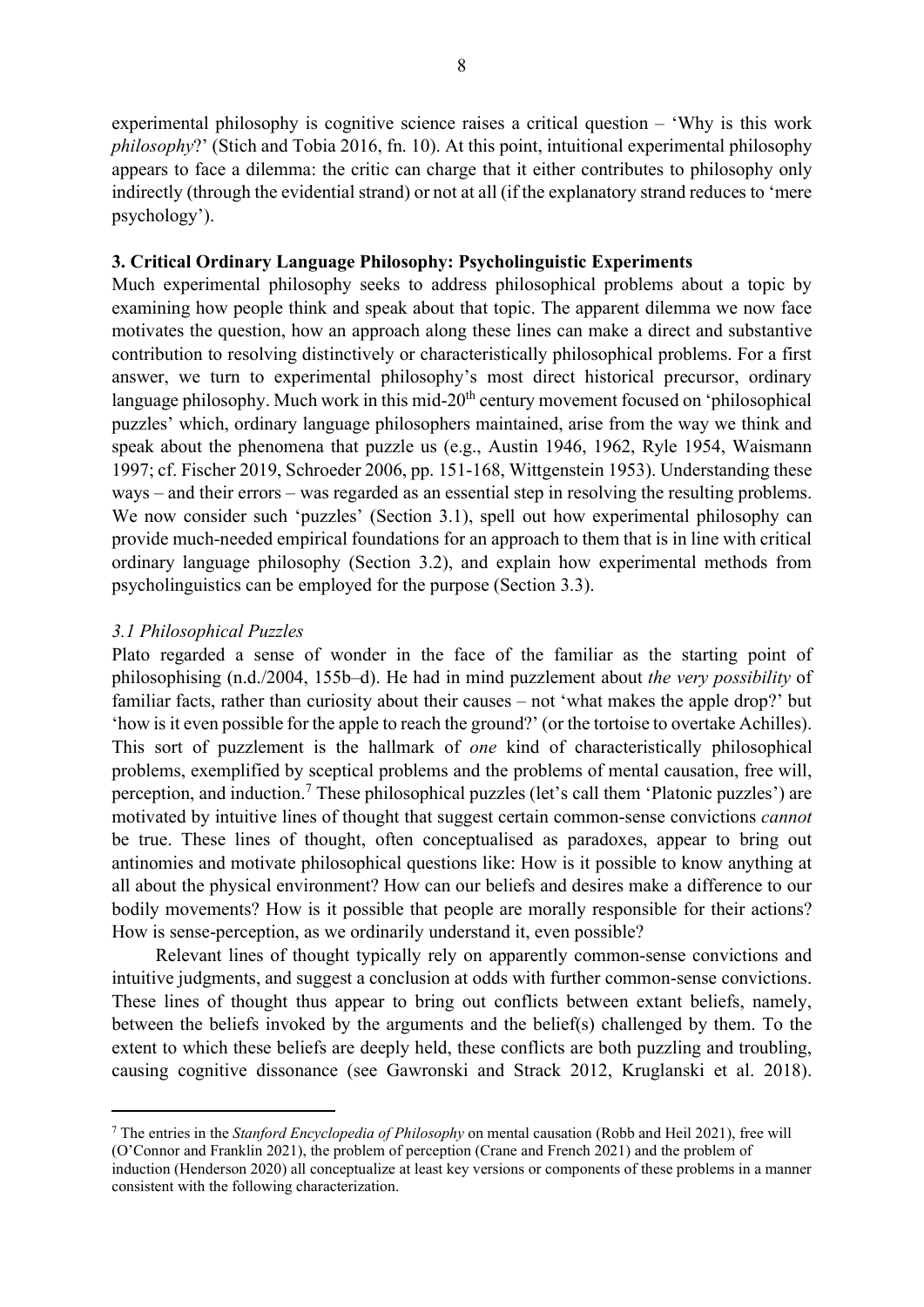experimental philosophy is cognitive science raises a critical question – 'Why is this work philosophy?' (Stich and Tobia 2016, fn. 10). At this point, intuitional experimental philosophy appears to face a dilemma: the critic can charge that it either contributes to philosophy only indirectly (through the evidential strand) or not at all (if the explanatory strand reduces to 'mere psychology').

#### 3. Critical Ordinary Language Philosophy: Psycholinguistic Experiments

Much experimental philosophy seeks to address philosophical problems about a topic by examining how people think and speak about that topic. The apparent dilemma we now face motivates the question, how an approach along these lines can make a direct and substantive contribution to resolving distinctively or characteristically philosophical problems. For a first answer, we turn to experimental philosophy's most direct historical precursor, ordinary language philosophy. Much work in this mid- $20<sup>th</sup>$  century movement focused on 'philosophical puzzles' which, ordinary language philosophers maintained, arise from the way we think and speak about the phenomena that puzzle us (e.g., Austin 1946, 1962, Ryle 1954, Waismann 1997; cf. Fischer 2019, Schroeder 2006, pp. 151-168, Wittgenstein 1953). Understanding these ways – and their errors – was regarded as an essential step in resolving the resulting problems. We now consider such 'puzzles' (Section 3.1), spell out how experimental philosophy can provide much-needed empirical foundations for an approach to them that is in line with critical ordinary language philosophy (Section 3.2), and explain how experimental methods from psycholinguistics can be employed for the purpose (Section 3.3).

#### 3.1 Philosophical Puzzles

Plato regarded a sense of wonder in the face of the familiar as the starting point of philosophising (n.d./2004, 155b–d). He had in mind puzzlement about the very possibility of familiar facts, rather than curiosity about their causes – not 'what makes the apple drop?' but 'how is it even possible for the apple to reach the ground?' (or the tortoise to overtake Achilles). This sort of puzzlement is the hallmark of one kind of characteristically philosophical problems, exemplified by sceptical problems and the problems of mental causation, free will, perception, and induction.<sup>7</sup> These philosophical puzzles (let's call them 'Platonic puzzles') are motivated by intuitive lines of thought that suggest certain common-sense convictions cannot be true. These lines of thought, often conceptualised as paradoxes, appear to bring out antinomies and motivate philosophical questions like: How is it possible to know anything at all about the physical environment? How can our beliefs and desires make a difference to our bodily movements? How is it possible that people are morally responsible for their actions? How is sense-perception, as we ordinarily understand it, even possible?

Relevant lines of thought typically rely on apparently common-sense convictions and intuitive judgments, and suggest a conclusion at odds with further common-sense convictions. These lines of thought thus appear to bring out conflicts between extant beliefs, namely, between the beliefs invoked by the arguments and the belief(s) challenged by them. To the extent to which these beliefs are deeply held, these conflicts are both puzzling and troubling, causing cognitive dissonance (see Gawronski and Strack 2012, Kruglanski et al. 2018).

<sup>&</sup>lt;sup>7</sup> The entries in the Stanford Encyclopedia of Philosophy on mental causation (Robb and Heil 2021), free will (O'Connor and Franklin 2021), the problem of perception (Crane and French 2021) and the problem of induction (Henderson 2020) all conceptualize at least key versions or components of these problems in a manner consistent with the following characterization.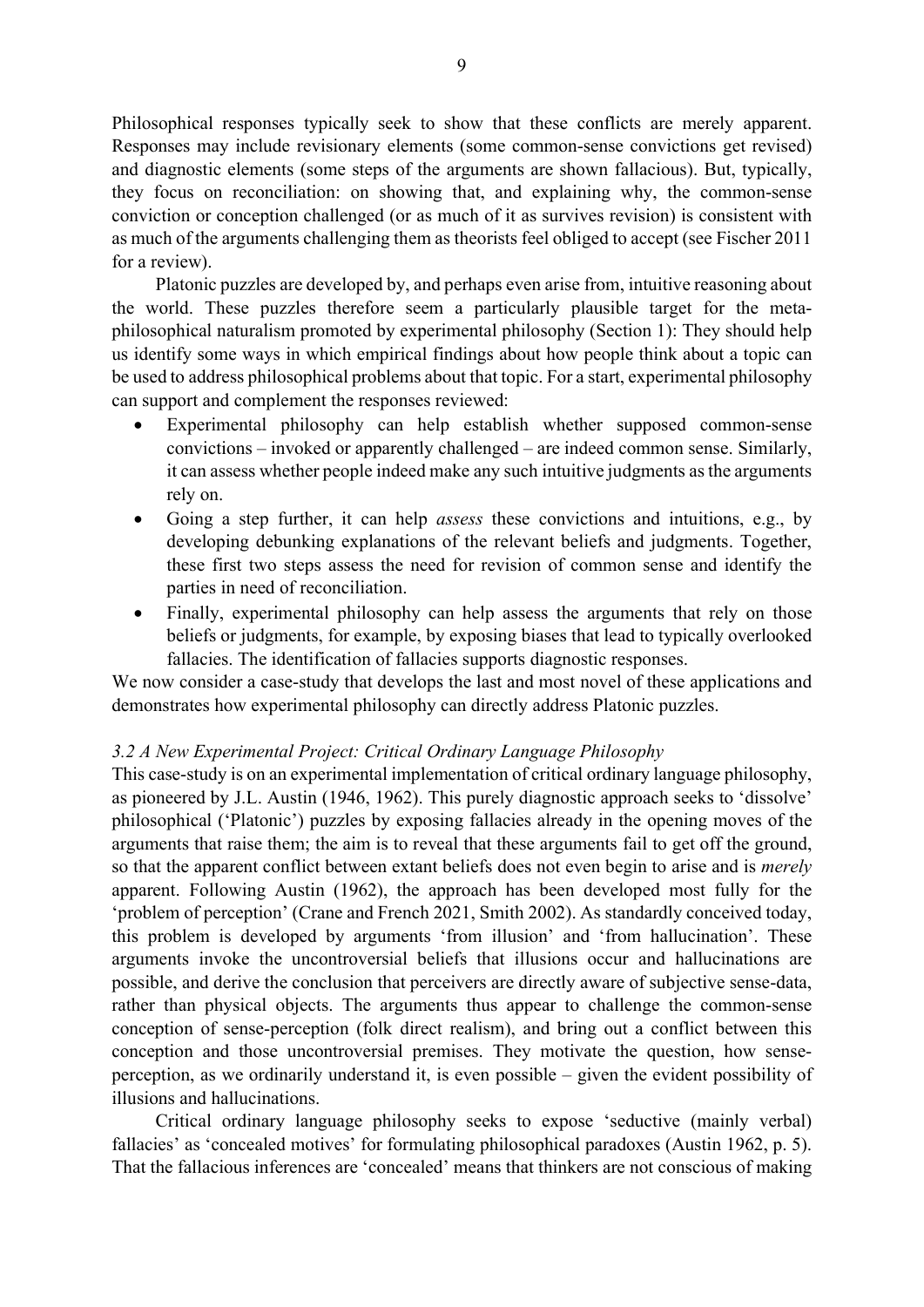Philosophical responses typically seek to show that these conflicts are merely apparent. Responses may include revisionary elements (some common-sense convictions get revised) and diagnostic elements (some steps of the arguments are shown fallacious). But, typically, they focus on reconciliation: on showing that, and explaining why, the common-sense conviction or conception challenged (or as much of it as survives revision) is consistent with as much of the arguments challenging them as theorists feel obliged to accept (see Fischer 2011 for a review).

Platonic puzzles are developed by, and perhaps even arise from, intuitive reasoning about the world. These puzzles therefore seem a particularly plausible target for the metaphilosophical naturalism promoted by experimental philosophy (Section 1): They should help us identify some ways in which empirical findings about how people think about a topic can be used to address philosophical problems about that topic. For a start, experimental philosophy can support and complement the responses reviewed:

- Experimental philosophy can help establish whether supposed common-sense convictions – invoked or apparently challenged – are indeed common sense. Similarly, it can assess whether people indeed make any such intuitive judgments as the arguments rely on.
- Going a step further, it can help *assess* these convictions and intuitions, e.g., by developing debunking explanations of the relevant beliefs and judgments. Together, these first two steps assess the need for revision of common sense and identify the parties in need of reconciliation.
- Finally, experimental philosophy can help assess the arguments that rely on those beliefs or judgments, for example, by exposing biases that lead to typically overlooked fallacies. The identification of fallacies supports diagnostic responses.

We now consider a case-study that develops the last and most novel of these applications and demonstrates how experimental philosophy can directly address Platonic puzzles.

#### 3.2 A New Experimental Project: Critical Ordinary Language Philosophy

This case-study is on an experimental implementation of critical ordinary language philosophy, as pioneered by J.L. Austin (1946, 1962). This purely diagnostic approach seeks to 'dissolve' philosophical ('Platonic') puzzles by exposing fallacies already in the opening moves of the arguments that raise them; the aim is to reveal that these arguments fail to get off the ground, so that the apparent conflict between extant beliefs does not even begin to arise and is merely apparent. Following Austin (1962), the approach has been developed most fully for the 'problem of perception' (Crane and French 2021, Smith 2002). As standardly conceived today, this problem is developed by arguments 'from illusion' and 'from hallucination'. These arguments invoke the uncontroversial beliefs that illusions occur and hallucinations are possible, and derive the conclusion that perceivers are directly aware of subjective sense-data, rather than physical objects. The arguments thus appear to challenge the common-sense conception of sense-perception (folk direct realism), and bring out a conflict between this conception and those uncontroversial premises. They motivate the question, how senseperception, as we ordinarily understand it, is even possible – given the evident possibility of illusions and hallucinations.

Critical ordinary language philosophy seeks to expose 'seductive (mainly verbal) fallacies' as 'concealed motives' for formulating philosophical paradoxes (Austin 1962, p. 5). That the fallacious inferences are 'concealed' means that thinkers are not conscious of making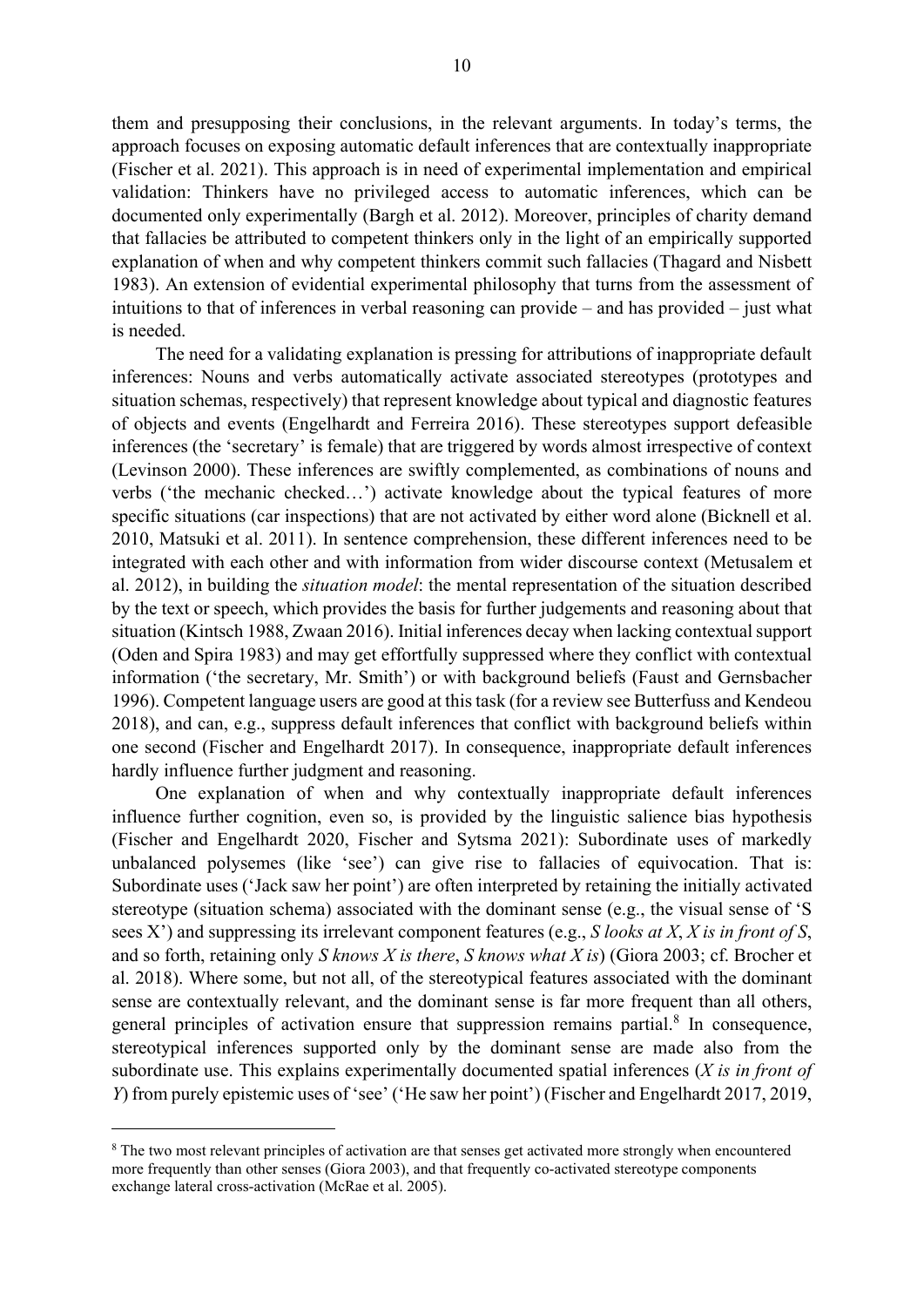them and presupposing their conclusions, in the relevant arguments. In today's terms, the approach focuses on exposing automatic default inferences that are contextually inappropriate (Fischer et al. 2021). This approach is in need of experimental implementation and empirical validation: Thinkers have no privileged access to automatic inferences, which can be documented only experimentally (Bargh et al. 2012). Moreover, principles of charity demand that fallacies be attributed to competent thinkers only in the light of an empirically supported explanation of when and why competent thinkers commit such fallacies (Thagard and Nisbett 1983). An extension of evidential experimental philosophy that turns from the assessment of intuitions to that of inferences in verbal reasoning can provide – and has provided – just what is needed.

The need for a validating explanation is pressing for attributions of inappropriate default inferences: Nouns and verbs automatically activate associated stereotypes (prototypes and situation schemas, respectively) that represent knowledge about typical and diagnostic features of objects and events (Engelhardt and Ferreira 2016). These stereotypes support defeasible inferences (the 'secretary' is female) that are triggered by words almost irrespective of context (Levinson 2000). These inferences are swiftly complemented, as combinations of nouns and verbs ('the mechanic checked…') activate knowledge about the typical features of more specific situations (car inspections) that are not activated by either word alone (Bicknell et al. 2010, Matsuki et al. 2011). In sentence comprehension, these different inferences need to be integrated with each other and with information from wider discourse context (Metusalem et al. 2012), in building the situation model: the mental representation of the situation described by the text or speech, which provides the basis for further judgements and reasoning about that situation (Kintsch 1988, Zwaan 2016). Initial inferences decay when lacking contextual support (Oden and Spira 1983) and may get effortfully suppressed where they conflict with contextual information ('the secretary, Mr. Smith') or with background beliefs (Faust and Gernsbacher 1996). Competent language users are good at this task (for a review see Butterfuss and Kendeou 2018), and can, e.g., suppress default inferences that conflict with background beliefs within one second (Fischer and Engelhardt 2017). In consequence, inappropriate default inferences hardly influence further judgment and reasoning.

One explanation of when and why contextually inappropriate default inferences influence further cognition, even so, is provided by the linguistic salience bias hypothesis (Fischer and Engelhardt 2020, Fischer and Sytsma 2021): Subordinate uses of markedly unbalanced polysemes (like 'see') can give rise to fallacies of equivocation. That is: Subordinate uses ('Jack saw her point') are often interpreted by retaining the initially activated stereotype (situation schema) associated with the dominant sense (e.g., the visual sense of 'S sees X') and suppressing its irrelevant component features (e.g.,  $S$  looks at  $X$ ,  $X$  is in front of  $S$ , and so forth, retaining only S knows X is there, S knows what X is) (Giora 2003; cf. Brocher et al. 2018). Where some, but not all, of the stereotypical features associated with the dominant sense are contextually relevant, and the dominant sense is far more frequent than all others, general principles of activation ensure that suppression remains partial. $8$  In consequence, stereotypical inferences supported only by the dominant sense are made also from the subordinate use. This explains experimentally documented spatial inferences  $(X \text{ is in front of})$ Y) from purely epistemic uses of 'see' ('He saw her point') (Fischer and Engelhardt 2017, 2019,

<sup>&</sup>lt;sup>8</sup> The two most relevant principles of activation are that senses get activated more strongly when encountered more frequently than other senses (Giora 2003), and that frequently co-activated stereotype components exchange lateral cross-activation (McRae et al. 2005).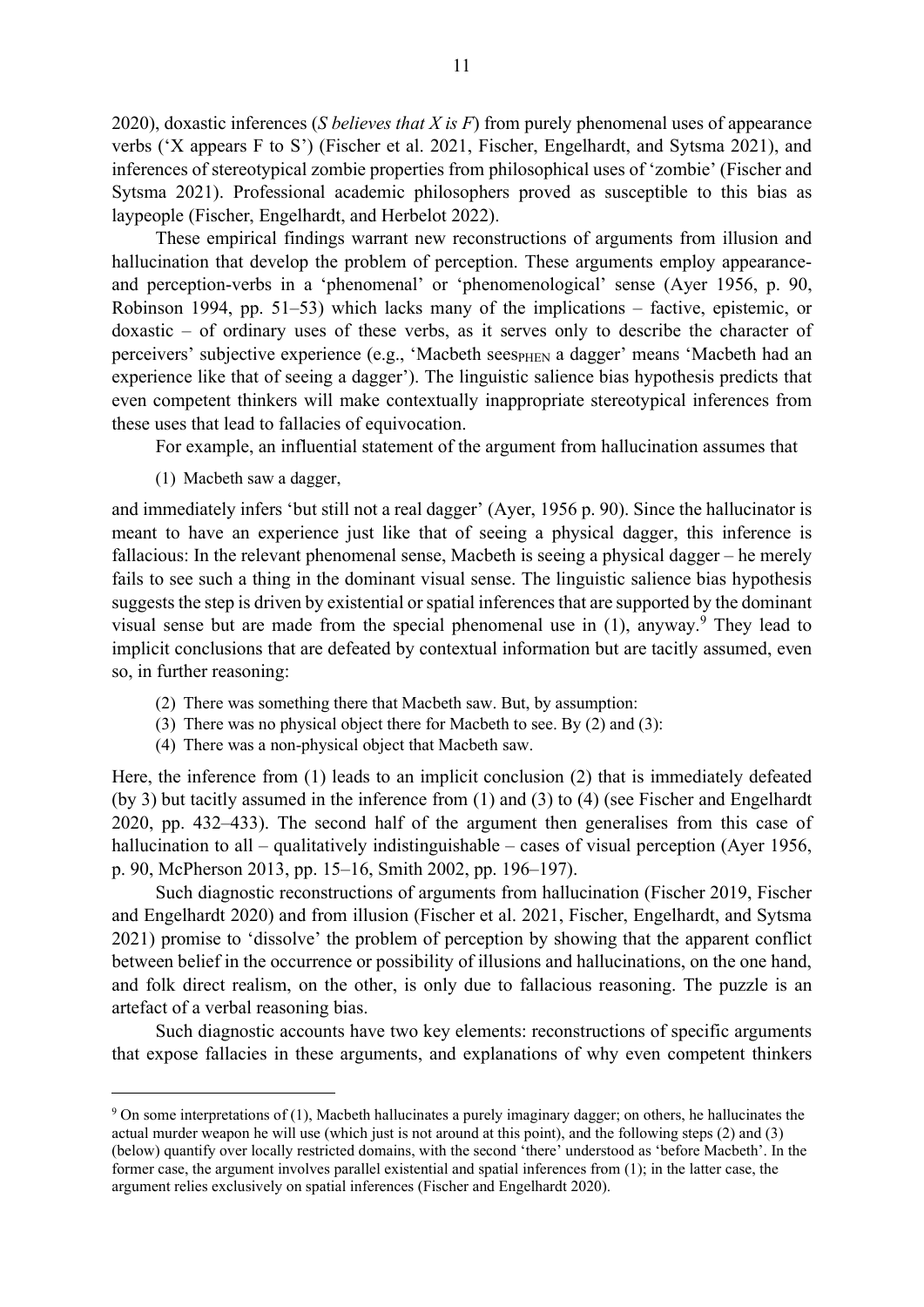2020), doxastic inferences (S believes that X is F) from purely phenomenal uses of appearance verbs ('X appears F to S') (Fischer et al. 2021, Fischer, Engelhardt, and Sytsma 2021), and inferences of stereotypical zombie properties from philosophical uses of 'zombie' (Fischer and Sytsma 2021). Professional academic philosophers proved as susceptible to this bias as laypeople (Fischer, Engelhardt, and Herbelot 2022).

These empirical findings warrant new reconstructions of arguments from illusion and hallucination that develop the problem of perception. These arguments employ appearanceand perception-verbs in a 'phenomenal' or 'phenomenological' sense (Ayer 1956, p. 90, Robinson 1994, pp. 51–53) which lacks many of the implications – factive, epistemic, or doxastic – of ordinary uses of these verbs, as it serves only to describe the character of perceivers' subjective experience (e.g., 'Macbeth seespHEN a dagger' means 'Macbeth had an experience like that of seeing a dagger'). The linguistic salience bias hypothesis predicts that even competent thinkers will make contextually inappropriate stereotypical inferences from these uses that lead to fallacies of equivocation.

For example, an influential statement of the argument from hallucination assumes that

(1) Macbeth saw a dagger,

and immediately infers 'but still not a real dagger' (Ayer, 1956 p. 90). Since the hallucinator is meant to have an experience just like that of seeing a physical dagger, this inference is fallacious: In the relevant phenomenal sense, Macbeth is seeing a physical dagger – he merely fails to see such a thing in the dominant visual sense. The linguistic salience bias hypothesis suggests the step is driven by existential or spatial inferences that are supported by the dominant visual sense but are made from the special phenomenal use in  $(1)$ , anyway.<sup>9</sup> They lead to implicit conclusions that are defeated by contextual information but are tacitly assumed, even so, in further reasoning:

- (2) There was something there that Macbeth saw. But, by assumption:
- (3) There was no physical object there for Macbeth to see. By (2) and (3):
- (4) There was a non-physical object that Macbeth saw.

Here, the inference from (1) leads to an implicit conclusion (2) that is immediately defeated (by 3) but tacitly assumed in the inference from (1) and (3) to (4) (see Fischer and Engelhardt 2020, pp. 432–433). The second half of the argument then generalises from this case of hallucination to all – qualitatively indistinguishable – cases of visual perception (Ayer 1956, p. 90, McPherson 2013, pp. 15–16, Smith 2002, pp. 196–197).

Such diagnostic reconstructions of arguments from hallucination (Fischer 2019, Fischer and Engelhardt 2020) and from illusion (Fischer et al. 2021, Fischer, Engelhardt, and Sytsma 2021) promise to 'dissolve' the problem of perception by showing that the apparent conflict between belief in the occurrence or possibility of illusions and hallucinations, on the one hand, and folk direct realism, on the other, is only due to fallacious reasoning. The puzzle is an artefact of a verbal reasoning bias.

Such diagnostic accounts have two key elements: reconstructions of specific arguments that expose fallacies in these arguments, and explanations of why even competent thinkers

<sup>&</sup>lt;sup>9</sup> On some interpretations of (1), Macbeth hallucinates a purely imaginary dagger; on others, he hallucinates the actual murder weapon he will use (which just is not around at this point), and the following steps (2) and (3) (below) quantify over locally restricted domains, with the second 'there' understood as 'before Macbeth'. In the former case, the argument involves parallel existential and spatial inferences from (1); in the latter case, the argument relies exclusively on spatial inferences (Fischer and Engelhardt 2020).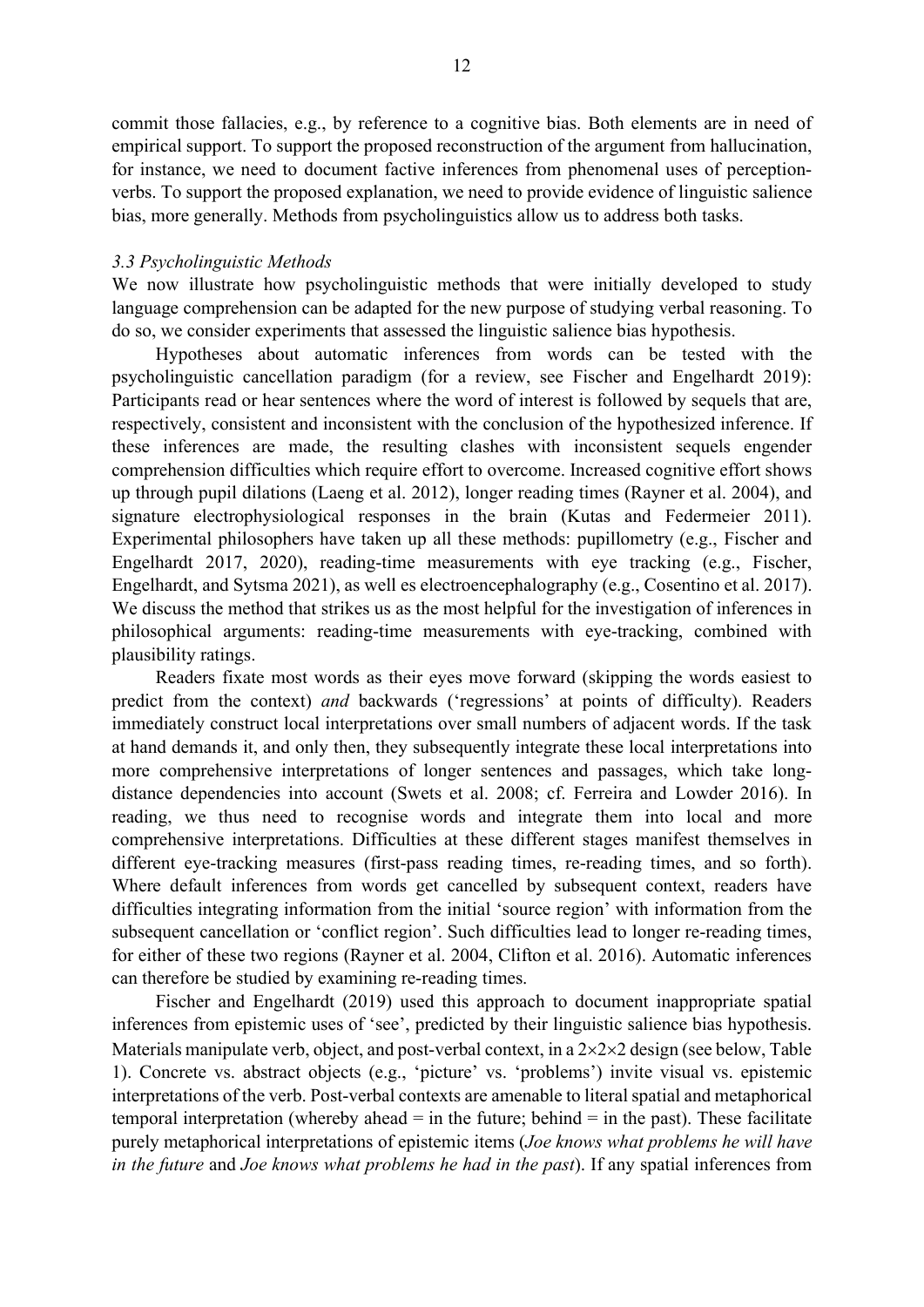commit those fallacies, e.g., by reference to a cognitive bias. Both elements are in need of empirical support. To support the proposed reconstruction of the argument from hallucination, for instance, we need to document factive inferences from phenomenal uses of perceptionverbs. To support the proposed explanation, we need to provide evidence of linguistic salience bias, more generally. Methods from psycholinguistics allow us to address both tasks.

#### 3.3 Psycholinguistic Methods

We now illustrate how psycholinguistic methods that were initially developed to study language comprehension can be adapted for the new purpose of studying verbal reasoning. To do so, we consider experiments that assessed the linguistic salience bias hypothesis.

Hypotheses about automatic inferences from words can be tested with the psycholinguistic cancellation paradigm (for a review, see Fischer and Engelhardt 2019): Participants read or hear sentences where the word of interest is followed by sequels that are, respectively, consistent and inconsistent with the conclusion of the hypothesized inference. If these inferences are made, the resulting clashes with inconsistent sequels engender comprehension difficulties which require effort to overcome. Increased cognitive effort shows up through pupil dilations (Laeng et al. 2012), longer reading times (Rayner et al. 2004), and signature electrophysiological responses in the brain (Kutas and Federmeier 2011). Experimental philosophers have taken up all these methods: pupillometry (e.g., Fischer and Engelhardt 2017, 2020), reading-time measurements with eye tracking (e.g., Fischer, Engelhardt, and Sytsma 2021), as well es electroencephalography (e.g., Cosentino et al. 2017). We discuss the method that strikes us as the most helpful for the investigation of inferences in philosophical arguments: reading-time measurements with eye-tracking, combined with plausibility ratings.

Readers fixate most words as their eyes move forward (skipping the words easiest to predict from the context) and backwards ('regressions' at points of difficulty). Readers immediately construct local interpretations over small numbers of adjacent words. If the task at hand demands it, and only then, they subsequently integrate these local interpretations into more comprehensive interpretations of longer sentences and passages, which take longdistance dependencies into account (Swets et al. 2008; cf. Ferreira and Lowder 2016). In reading, we thus need to recognise words and integrate them into local and more comprehensive interpretations. Difficulties at these different stages manifest themselves in different eye-tracking measures (first-pass reading times, re-reading times, and so forth). Where default inferences from words get cancelled by subsequent context, readers have difficulties integrating information from the initial 'source region' with information from the subsequent cancellation or 'conflict region'. Such difficulties lead to longer re-reading times, for either of these two regions (Rayner et al. 2004, Clifton et al. 2016). Automatic inferences can therefore be studied by examining re-reading times.

Fischer and Engelhardt (2019) used this approach to document inappropriate spatial inferences from epistemic uses of 'see', predicted by their linguistic salience bias hypothesis. Materials manipulate verb, object, and post-verbal context, in a  $2 \times 2 \times 2$  design (see below, Table 1). Concrete vs. abstract objects (e.g., 'picture' vs. 'problems') invite visual vs. epistemic interpretations of the verb. Post-verbal contexts are amenable to literal spatial and metaphorical temporal interpretation (whereby ahead  $=$  in the future; behind  $=$  in the past). These facilitate purely metaphorical interpretations of epistemic items (Joe knows what problems he will have in the future and Joe knows what problems he had in the past). If any spatial inferences from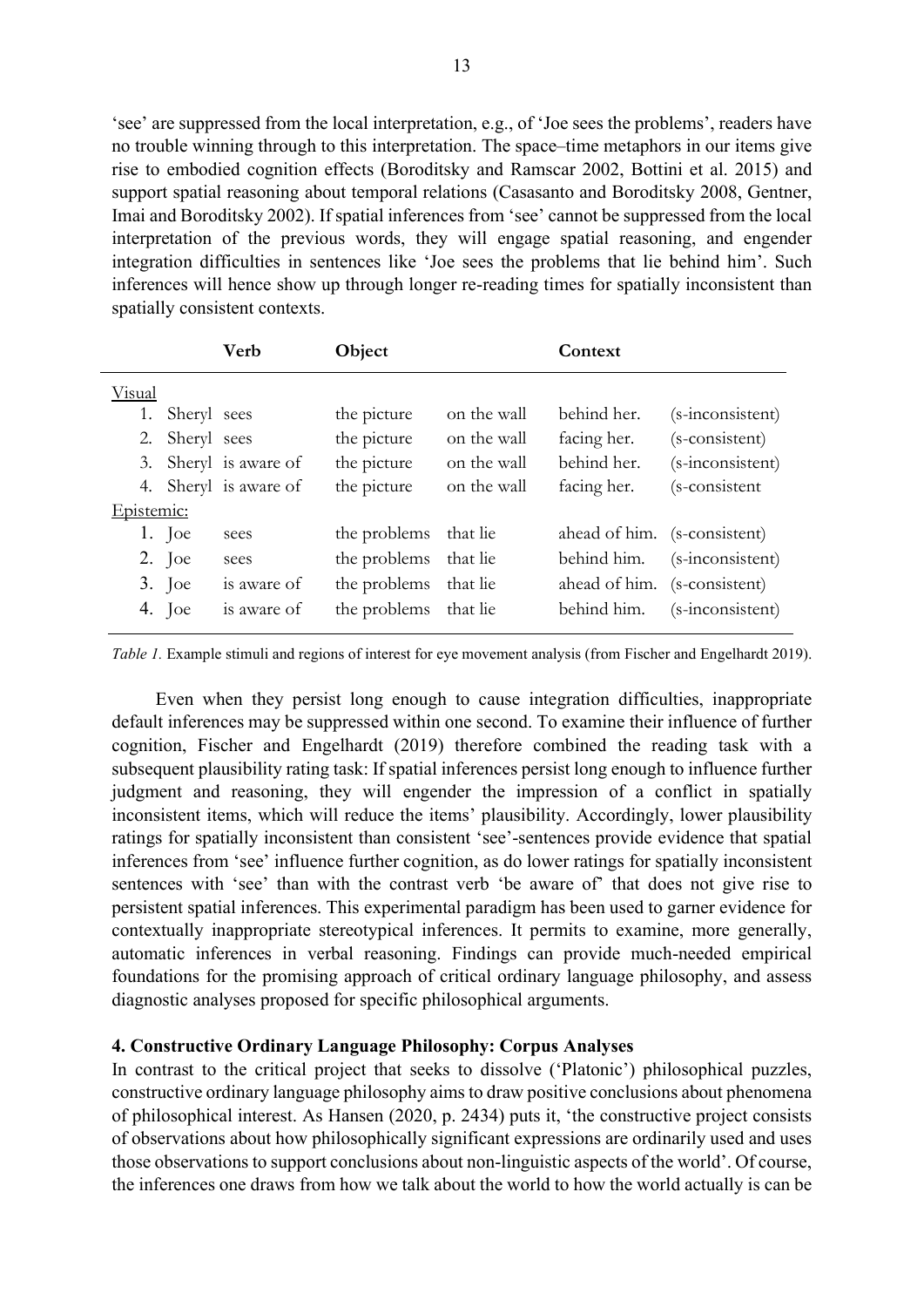'see' are suppressed from the local interpretation, e.g., of 'Joe sees the problems', readers have no trouble winning through to this interpretation. The space–time metaphors in our items give rise to embodied cognition effects (Boroditsky and Ramscar 2002, Bottini et al. 2015) and support spatial reasoning about temporal relations (Casasanto and Boroditsky 2008, Gentner, Imai and Boroditsky 2002). If spatial inferences from 'see' cannot be suppressed from the local interpretation of the previous words, they will engage spatial reasoning, and engender integration difficulties in sentences like 'Joe sees the problems that lie behind him'. Such inferences will hence show up through longer re-reading times for spatially inconsistent than spatially consistent contexts.

|            |             | Verb                  | Object       |             | Context                      |                  |
|------------|-------------|-----------------------|--------------|-------------|------------------------------|------------------|
| Visual     |             |                       |              |             |                              |                  |
| 1.         | Sheryl sees |                       | the picture  | on the wall | behind her.                  | (s-inconsistent) |
| 2.         | Sheryl sees |                       | the picture  | on the wall | facing her.                  | (s-consistent)   |
|            |             | 3. Sheryl is aware of | the picture  | on the wall | behind her.                  | (s-inconsistent) |
|            |             | 4. Sheryl is aware of | the picture  | on the wall | facing her.                  | (s-consistent    |
| Epistemic: |             |                       |              |             |                              |                  |
|            | 1. Joe      | sees                  | the problems | that lie    | ahead of him. (s-consistent) |                  |
|            | $2.$ Joe    | sees                  | the problems | that lie    | behind him.                  | (s-inconsistent) |
|            | $3.$ Joe    | is aware of           | the problems | that lie    | ahead of him. (s-consistent) |                  |
|            | 4. Joe      | is aware of           | the problems | that lie    | behind him.                  | (s-inconsistent) |

Table 1. Example stimuli and regions of interest for eye movement analysis (from Fischer and Engelhardt 2019).

Even when they persist long enough to cause integration difficulties, inappropriate default inferences may be suppressed within one second. To examine their influence of further cognition, Fischer and Engelhardt (2019) therefore combined the reading task with a subsequent plausibility rating task: If spatial inferences persist long enough to influence further judgment and reasoning, they will engender the impression of a conflict in spatially inconsistent items, which will reduce the items' plausibility. Accordingly, lower plausibility ratings for spatially inconsistent than consistent 'see'-sentences provide evidence that spatial inferences from 'see' influence further cognition, as do lower ratings for spatially inconsistent sentences with 'see' than with the contrast verb 'be aware of' that does not give rise to persistent spatial inferences. This experimental paradigm has been used to garner evidence for contextually inappropriate stereotypical inferences. It permits to examine, more generally, automatic inferences in verbal reasoning. Findings can provide much-needed empirical foundations for the promising approach of critical ordinary language philosophy, and assess diagnostic analyses proposed for specific philosophical arguments.

#### 4. Constructive Ordinary Language Philosophy: Corpus Analyses

In contrast to the critical project that seeks to dissolve ('Platonic') philosophical puzzles, constructive ordinary language philosophy aims to draw positive conclusions about phenomena of philosophical interest. As Hansen (2020, p. 2434) puts it, 'the constructive project consists of observations about how philosophically significant expressions are ordinarily used and uses those observations to support conclusions about non-linguistic aspects of the world'. Of course, the inferences one draws from how we talk about the world to how the world actually is can be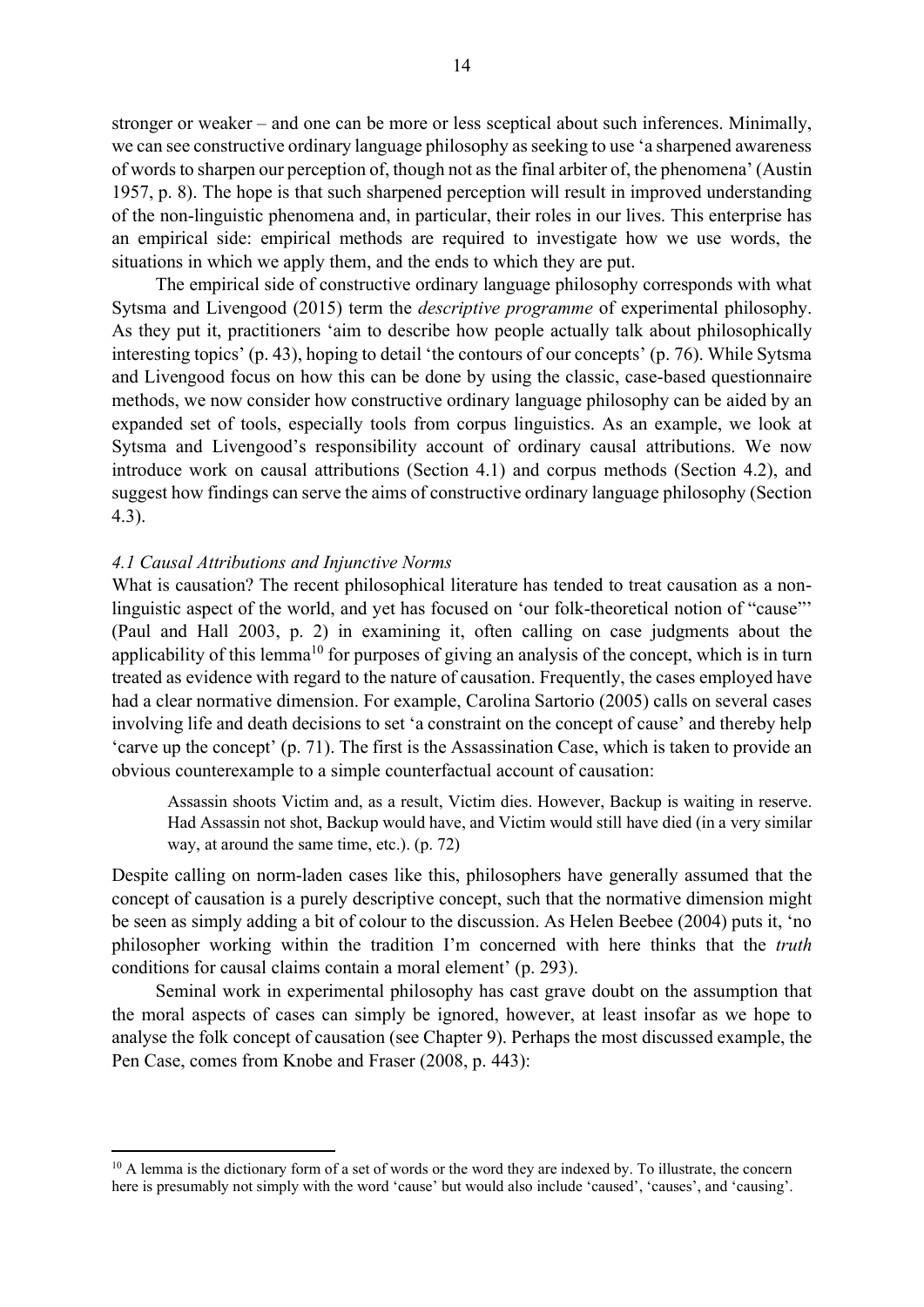stronger or weaker – and one can be more or less sceptical about such inferences. Minimally, we can see constructive ordinary language philosophy as seeking to use 'a sharpened awareness of words to sharpen our perception of, though not as the final arbiter of, the phenomena' (Austin 1957, p. 8). The hope is that such sharpened perception will result in improved understanding of the non-linguistic phenomena and, in particular, their roles in our lives. This enterprise has an empirical side: empirical methods are required to investigate how we use words, the situations in which we apply them, and the ends to which they are put.

The empirical side of constructive ordinary language philosophy corresponds with what Sytsma and Livengood (2015) term the descriptive programme of experimental philosophy. As they put it, practitioners 'aim to describe how people actually talk about philosophically interesting topics' (p. 43), hoping to detail 'the contours of our concepts' (p. 76). While Sytsma and Livengood focus on how this can be done by using the classic, case-based questionnaire methods, we now consider how constructive ordinary language philosophy can be aided by an expanded set of tools, especially tools from corpus linguistics. As an example, we look at Sytsma and Livengood's responsibility account of ordinary causal attributions. We now introduce work on causal attributions (Section 4.1) and corpus methods (Section 4.2), and suggest how findings can serve the aims of constructive ordinary language philosophy (Section 4.3).

#### 4.1 Causal Attributions and Injunctive Norms

What is causation? The recent philosophical literature has tended to treat causation as a nonlinguistic aspect of the world, and yet has focused on 'our folk-theoretical notion of "cause"' (Paul and Hall 2003, p. 2) in examining it, often calling on case judgments about the applicability of this lemma<sup>10</sup> for purposes of giving an analysis of the concept, which is in turn treated as evidence with regard to the nature of causation. Frequently, the cases employed have had a clear normative dimension. For example, Carolina Sartorio (2005) calls on several cases involving life and death decisions to set 'a constraint on the concept of cause' and thereby help 'carve up the concept' (p. 71). The first is the Assassination Case, which is taken to provide an obvious counterexample to a simple counterfactual account of causation:

Assassin shoots Victim and, as a result, Victim dies. However, Backup is waiting in reserve. Had Assassin not shot, Backup would have, and Victim would still have died (in a very similar way, at around the same time, etc.). (p. 72)

Despite calling on norm-laden cases like this, philosophers have generally assumed that the concept of causation is a purely descriptive concept, such that the normative dimension might be seen as simply adding a bit of colour to the discussion. As Helen Beebee (2004) puts it, 'no philosopher working within the tradition I'm concerned with here thinks that the truth conditions for causal claims contain a moral element' (p. 293).

Seminal work in experimental philosophy has cast grave doubt on the assumption that the moral aspects of cases can simply be ignored, however, at least insofar as we hope to analyse the folk concept of causation (see Chapter 9). Perhaps the most discussed example, the Pen Case, comes from Knobe and Fraser (2008, p. 443):

<sup>&</sup>lt;sup>10</sup> A lemma is the dictionary form of a set of words or the word they are indexed by. To illustrate, the concern here is presumably not simply with the word 'cause' but would also include 'caused', 'causes', and 'causing'.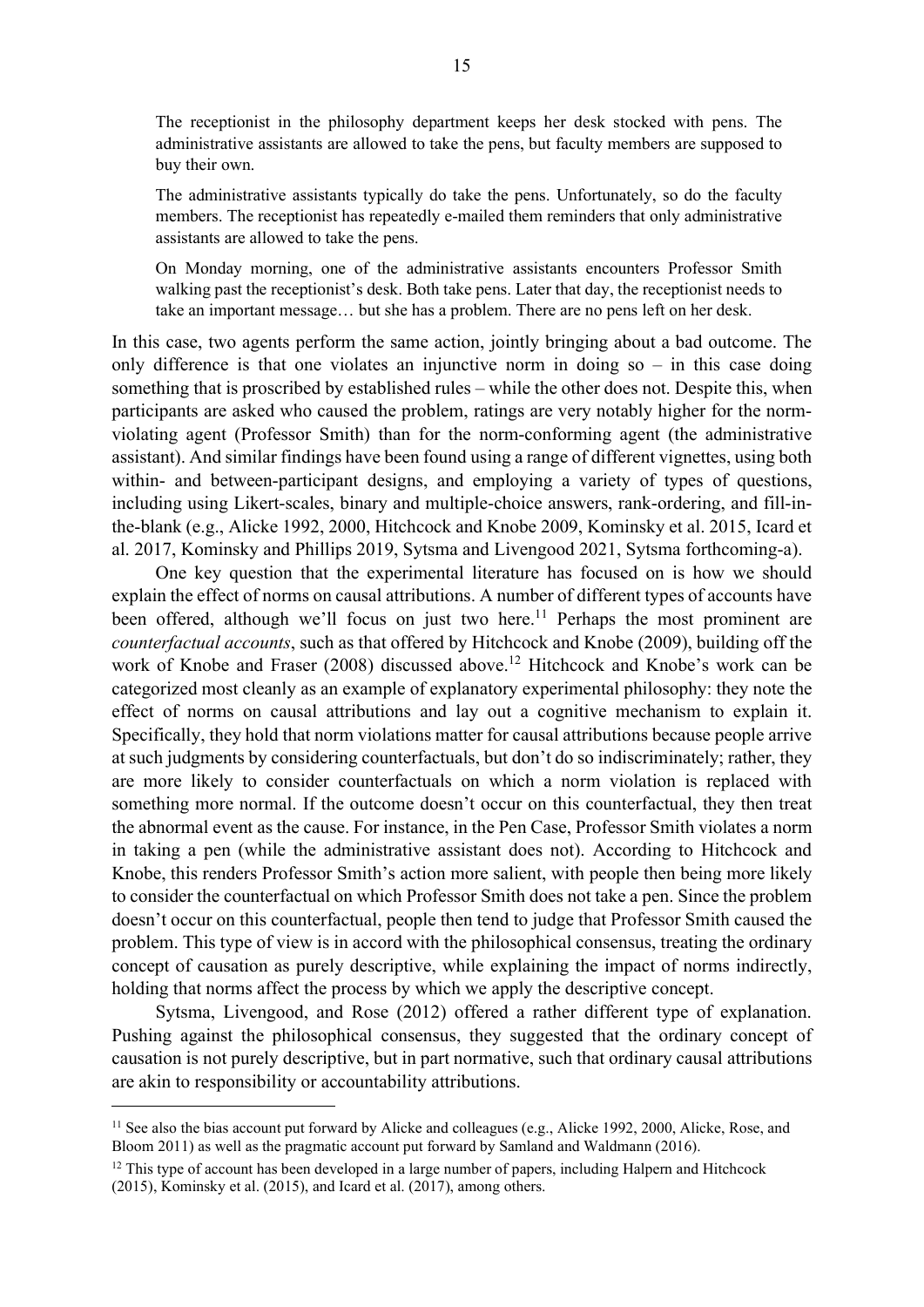The receptionist in the philosophy department keeps her desk stocked with pens. The administrative assistants are allowed to take the pens, but faculty members are supposed to buy their own.

The administrative assistants typically do take the pens. Unfortunately, so do the faculty members. The receptionist has repeatedly e-mailed them reminders that only administrative assistants are allowed to take the pens.

On Monday morning, one of the administrative assistants encounters Professor Smith walking past the receptionist's desk. Both take pens. Later that day, the receptionist needs to take an important message… but she has a problem. There are no pens left on her desk.

In this case, two agents perform the same action, jointly bringing about a bad outcome. The only difference is that one violates an injunctive norm in doing  $so - in this case doing$ something that is proscribed by established rules – while the other does not. Despite this, when participants are asked who caused the problem, ratings are very notably higher for the normviolating agent (Professor Smith) than for the norm-conforming agent (the administrative assistant). And similar findings have been found using a range of different vignettes, using both within- and between-participant designs, and employing a variety of types of questions, including using Likert-scales, binary and multiple-choice answers, rank-ordering, and fill-inthe-blank (e.g., Alicke 1992, 2000, Hitchcock and Knobe 2009, Kominsky et al. 2015, Icard et al. 2017, Kominsky and Phillips 2019, Sytsma and Livengood 2021, Sytsma forthcoming-a).

One key question that the experimental literature has focused on is how we should explain the effect of norms on causal attributions. A number of different types of accounts have been offered, although we'll focus on just two here.<sup>11</sup> Perhaps the most prominent are counterfactual accounts, such as that offered by Hitchcock and Knobe (2009), building off the work of Knobe and Fraser (2008) discussed above.<sup>12</sup> Hitchcock and Knobe's work can be categorized most cleanly as an example of explanatory experimental philosophy: they note the effect of norms on causal attributions and lay out a cognitive mechanism to explain it. Specifically, they hold that norm violations matter for causal attributions because people arrive at such judgments by considering counterfactuals, but don't do so indiscriminately; rather, they are more likely to consider counterfactuals on which a norm violation is replaced with something more normal. If the outcome doesn't occur on this counterfactual, they then treat the abnormal event as the cause. For instance, in the Pen Case, Professor Smith violates a norm in taking a pen (while the administrative assistant does not). According to Hitchcock and Knobe, this renders Professor Smith's action more salient, with people then being more likely to consider the counterfactual on which Professor Smith does not take a pen. Since the problem doesn't occur on this counterfactual, people then tend to judge that Professor Smith caused the problem. This type of view is in accord with the philosophical consensus, treating the ordinary concept of causation as purely descriptive, while explaining the impact of norms indirectly, holding that norms affect the process by which we apply the descriptive concept.

Sytsma, Livengood, and Rose (2012) offered a rather different type of explanation. Pushing against the philosophical consensus, they suggested that the ordinary concept of causation is not purely descriptive, but in part normative, such that ordinary causal attributions are akin to responsibility or accountability attributions.

<sup>&</sup>lt;sup>11</sup> See also the bias account put forward by Alicke and colleagues (e.g., Alicke 1992, 2000, Alicke, Rose, and Bloom 2011) as well as the pragmatic account put forward by Samland and Waldmann (2016).

<sup>&</sup>lt;sup>12</sup> This type of account has been developed in a large number of papers, including Halpern and Hitchcock (2015), Kominsky et al. (2015), and Icard et al. (2017), among others.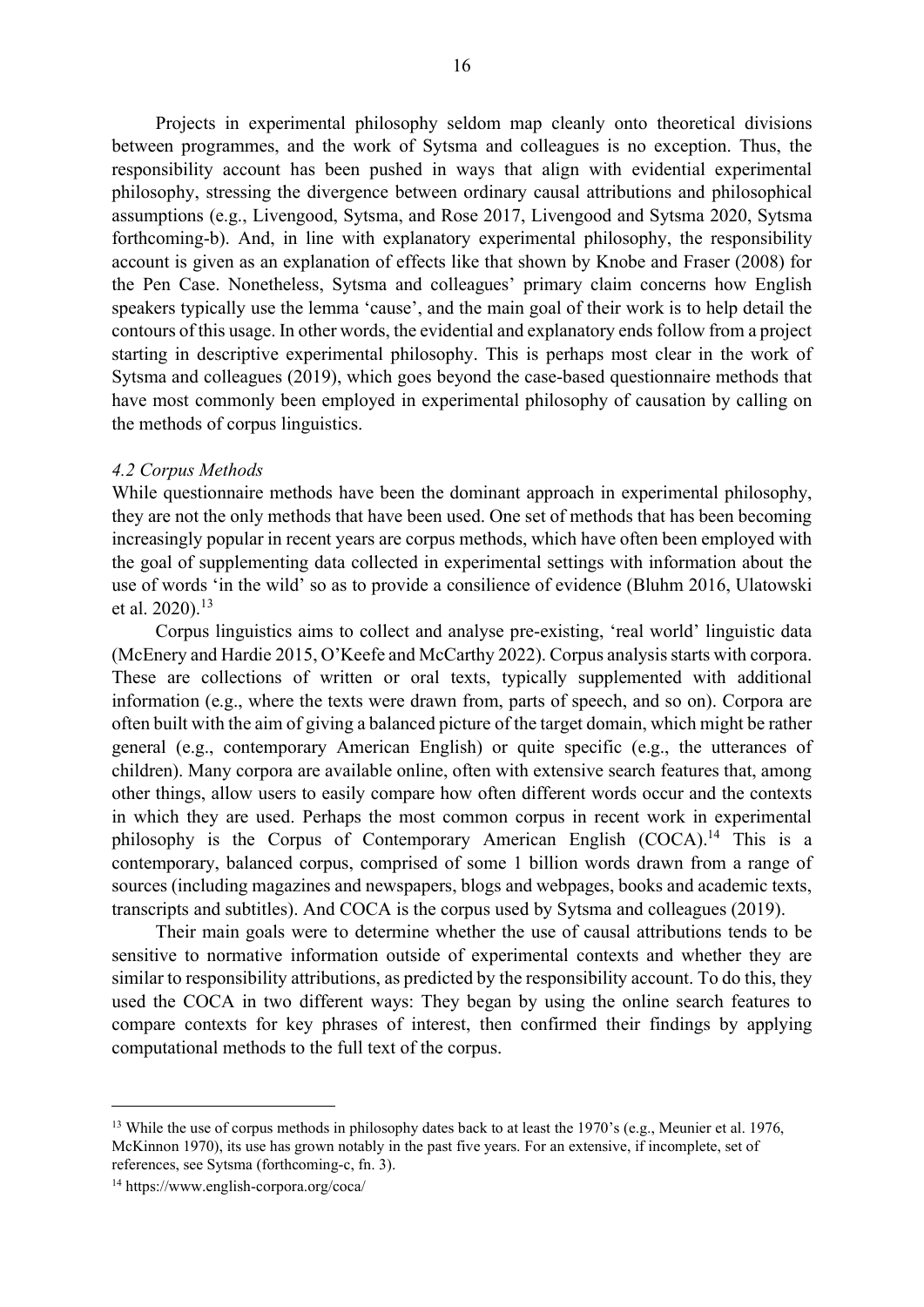Projects in experimental philosophy seldom map cleanly onto theoretical divisions between programmes, and the work of Sytsma and colleagues is no exception. Thus, the responsibility account has been pushed in ways that align with evidential experimental philosophy, stressing the divergence between ordinary causal attributions and philosophical assumptions (e.g., Livengood, Sytsma, and Rose 2017, Livengood and Sytsma 2020, Sytsma forthcoming-b). And, in line with explanatory experimental philosophy, the responsibility account is given as an explanation of effects like that shown by Knobe and Fraser (2008) for the Pen Case. Nonetheless, Sytsma and colleagues' primary claim concerns how English speakers typically use the lemma 'cause', and the main goal of their work is to help detail the contours of this usage. In other words, the evidential and explanatory ends follow from a project starting in descriptive experimental philosophy. This is perhaps most clear in the work of Sytsma and colleagues (2019), which goes beyond the case-based questionnaire methods that have most commonly been employed in experimental philosophy of causation by calling on the methods of corpus linguistics.

#### 4.2 Corpus Methods

While questionnaire methods have been the dominant approach in experimental philosophy, they are not the only methods that have been used. One set of methods that has been becoming increasingly popular in recent years are corpus methods, which have often been employed with the goal of supplementing data collected in experimental settings with information about the use of words 'in the wild' so as to provide a consilience of evidence (Bluhm 2016, Ulatowski et al. 2020).<sup>13</sup>

Corpus linguistics aims to collect and analyse pre-existing, 'real world' linguistic data (McEnery and Hardie 2015, O'Keefe and McCarthy 2022). Corpus analysis starts with corpora. These are collections of written or oral texts, typically supplemented with additional information (e.g., where the texts were drawn from, parts of speech, and so on). Corpora are often built with the aim of giving a balanced picture of the target domain, which might be rather general (e.g., contemporary American English) or quite specific (e.g., the utterances of children). Many corpora are available online, often with extensive search features that, among other things, allow users to easily compare how often different words occur and the contexts in which they are used. Perhaps the most common corpus in recent work in experimental philosophy is the Corpus of Contemporary American English  $(COCA)^{14}$  This is a contemporary, balanced corpus, comprised of some 1 billion words drawn from a range of sources (including magazines and newspapers, blogs and webpages, books and academic texts, transcripts and subtitles). And COCA is the corpus used by Sytsma and colleagues (2019).

Their main goals were to determine whether the use of causal attributions tends to be sensitive to normative information outside of experimental contexts and whether they are similar to responsibility attributions, as predicted by the responsibility account. To do this, they used the COCA in two different ways: They began by using the online search features to compare contexts for key phrases of interest, then confirmed their findings by applying computational methods to the full text of the corpus.

<sup>&</sup>lt;sup>13</sup> While the use of corpus methods in philosophy dates back to at least the 1970's (e.g., Meunier et al. 1976, McKinnon 1970), its use has grown notably in the past five years. For an extensive, if incomplete, set of references, see Sytsma (forthcoming-c, fn. 3).

<sup>14</sup> https://www.english-corpora.org/coca/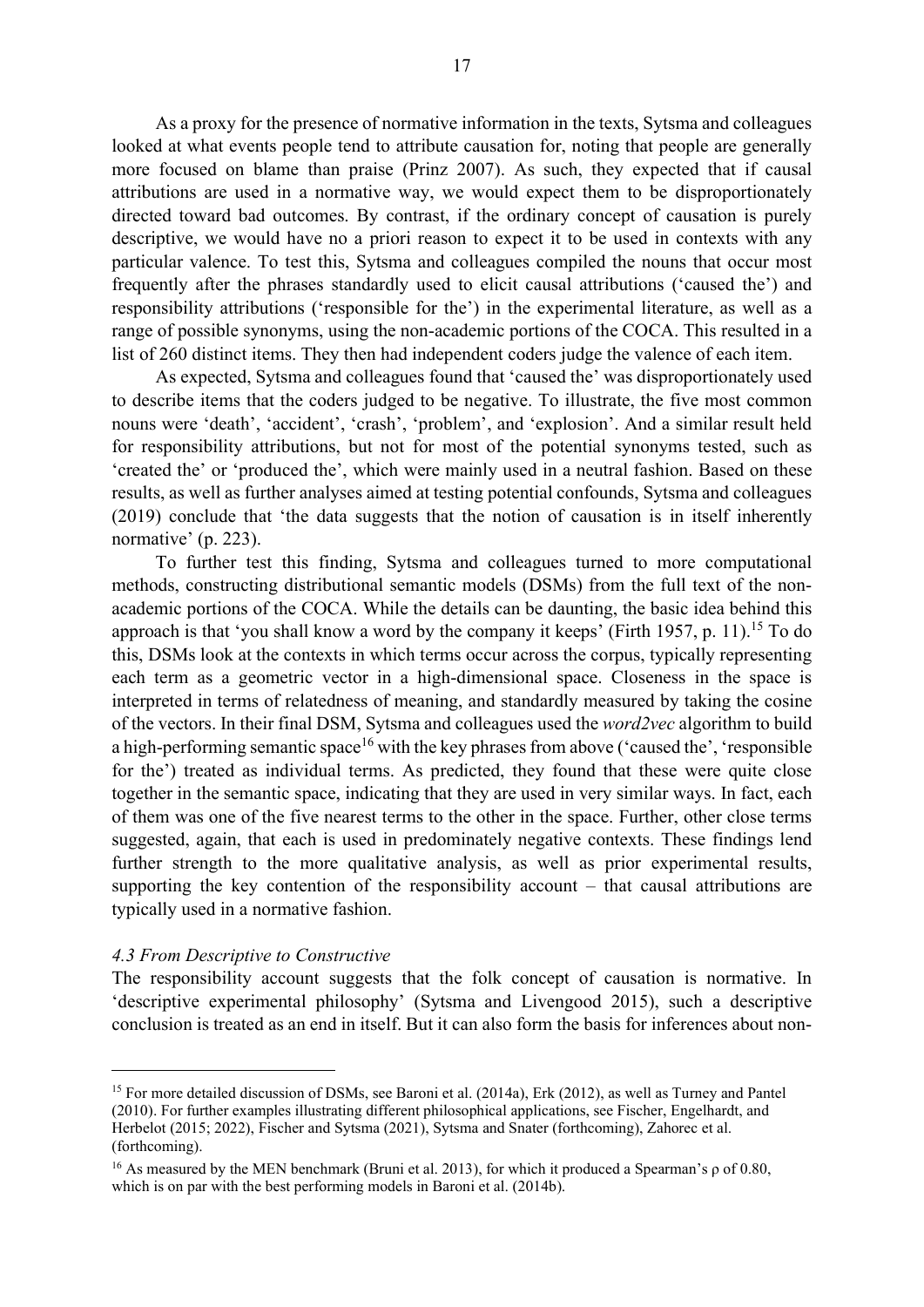As a proxy for the presence of normative information in the texts, Sytsma and colleagues looked at what events people tend to attribute causation for, noting that people are generally more focused on blame than praise (Prinz 2007). As such, they expected that if causal attributions are used in a normative way, we would expect them to be disproportionately directed toward bad outcomes. By contrast, if the ordinary concept of causation is purely descriptive, we would have no a priori reason to expect it to be used in contexts with any particular valence. To test this, Sytsma and colleagues compiled the nouns that occur most frequently after the phrases standardly used to elicit causal attributions ('caused the') and responsibility attributions ('responsible for the') in the experimental literature, as well as a range of possible synonyms, using the non-academic portions of the COCA. This resulted in a list of 260 distinct items. They then had independent coders judge the valence of each item.

As expected, Sytsma and colleagues found that 'caused the' was disproportionately used to describe items that the coders judged to be negative. To illustrate, the five most common nouns were 'death', 'accident', 'crash', 'problem', and 'explosion'. And a similar result held for responsibility attributions, but not for most of the potential synonyms tested, such as 'created the' or 'produced the', which were mainly used in a neutral fashion. Based on these results, as well as further analyses aimed at testing potential confounds, Sytsma and colleagues (2019) conclude that 'the data suggests that the notion of causation is in itself inherently normative' (p. 223).

To further test this finding, Sytsma and colleagues turned to more computational methods, constructing distributional semantic models (DSMs) from the full text of the nonacademic portions of the COCA. While the details can be daunting, the basic idea behind this approach is that 'you shall know a word by the company it keeps' (Firth 1957, p. 11).<sup>15</sup> To do this, DSMs look at the contexts in which terms occur across the corpus, typically representing each term as a geometric vector in a high-dimensional space. Closeness in the space is interpreted in terms of relatedness of meaning, and standardly measured by taking the cosine of the vectors. In their final DSM, Sytsma and colleagues used the word2vec algorithm to build a high-performing semantic space<sup>16</sup> with the key phrases from above ('caused the', 'responsible for the') treated as individual terms. As predicted, they found that these were quite close together in the semantic space, indicating that they are used in very similar ways. In fact, each of them was one of the five nearest terms to the other in the space. Further, other close terms suggested, again, that each is used in predominately negative contexts. These findings lend further strength to the more qualitative analysis, as well as prior experimental results, supporting the key contention of the responsibility account – that causal attributions are typically used in a normative fashion.

#### 4.3 From Descriptive to Constructive

The responsibility account suggests that the folk concept of causation is normative. In 'descriptive experimental philosophy' (Sytsma and Livengood 2015), such a descriptive conclusion is treated as an end in itself. But it can also form the basis for inferences about non-

<sup>&</sup>lt;sup>15</sup> For more detailed discussion of DSMs, see Baroni et al. (2014a), Erk (2012), as well as Turney and Pantel (2010). For further examples illustrating different philosophical applications, see Fischer, Engelhardt, and Herbelot (2015; 2022), Fischer and Sytsma (2021), Sytsma and Snater (forthcoming), Zahorec et al. (forthcoming).

<sup>16</sup> As measured by the MEN benchmark (Bruni et al. 2013), for which it produced a Spearman's ρ of 0.80, which is on par with the best performing models in Baroni et al. (2014b).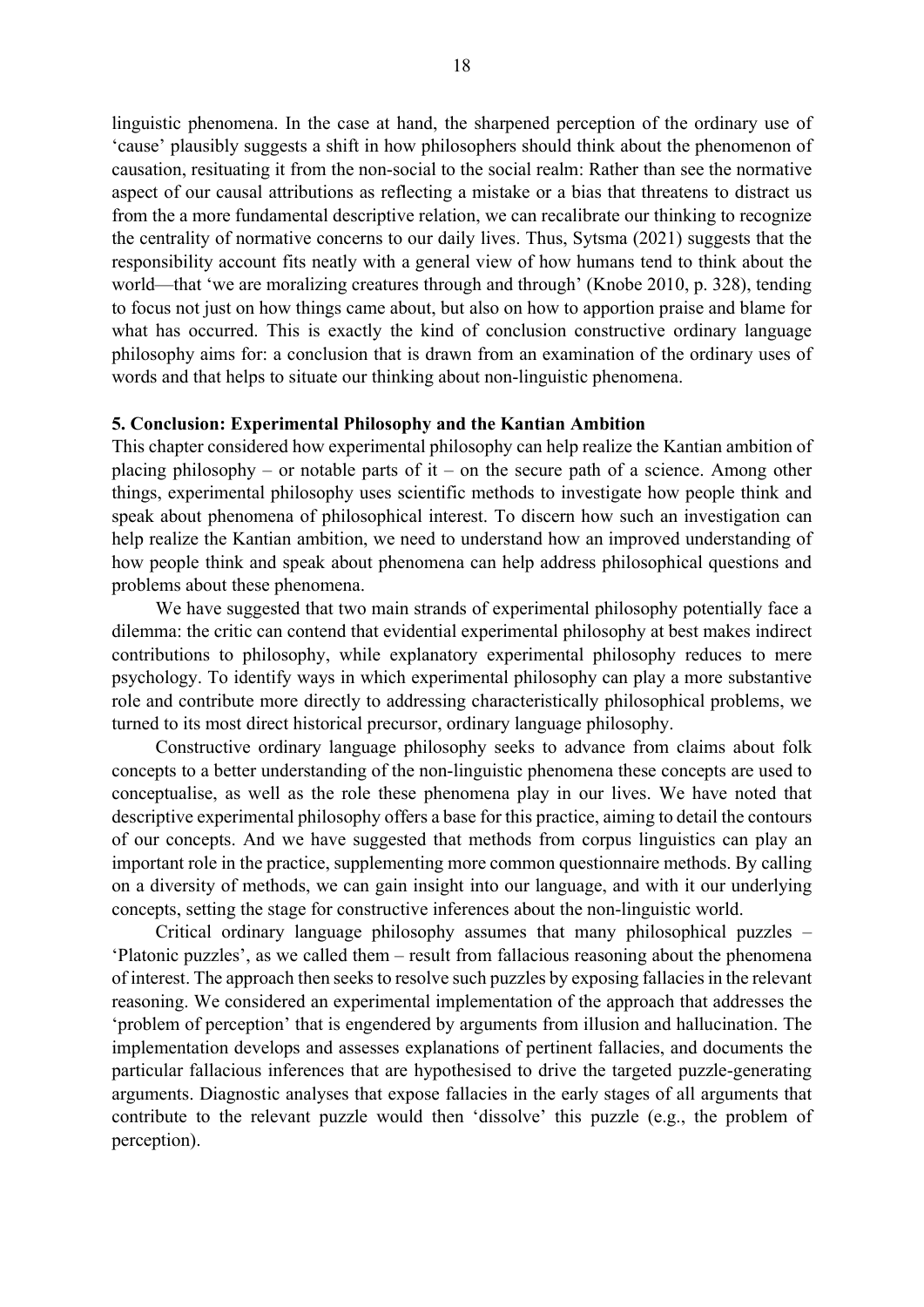linguistic phenomena. In the case at hand, the sharpened perception of the ordinary use of 'cause' plausibly suggests a shift in how philosophers should think about the phenomenon of causation, resituating it from the non-social to the social realm: Rather than see the normative aspect of our causal attributions as reflecting a mistake or a bias that threatens to distract us from the a more fundamental descriptive relation, we can recalibrate our thinking to recognize the centrality of normative concerns to our daily lives. Thus, Sytsma (2021) suggests that the responsibility account fits neatly with a general view of how humans tend to think about the world—that 'we are moralizing creatures through and through' (Knobe 2010, p. 328), tending to focus not just on how things came about, but also on how to apportion praise and blame for what has occurred. This is exactly the kind of conclusion constructive ordinary language philosophy aims for: a conclusion that is drawn from an examination of the ordinary uses of words and that helps to situate our thinking about non-linguistic phenomena.

#### 5. Conclusion: Experimental Philosophy and the Kantian Ambition

This chapter considered how experimental philosophy can help realize the Kantian ambition of placing philosophy – or notable parts of it – on the secure path of a science. Among other things, experimental philosophy uses scientific methods to investigate how people think and speak about phenomena of philosophical interest. To discern how such an investigation can help realize the Kantian ambition, we need to understand how an improved understanding of how people think and speak about phenomena can help address philosophical questions and problems about these phenomena.

We have suggested that two main strands of experimental philosophy potentially face a dilemma: the critic can contend that evidential experimental philosophy at best makes indirect contributions to philosophy, while explanatory experimental philosophy reduces to mere psychology. To identify ways in which experimental philosophy can play a more substantive role and contribute more directly to addressing characteristically philosophical problems, we turned to its most direct historical precursor, ordinary language philosophy.

Constructive ordinary language philosophy seeks to advance from claims about folk concepts to a better understanding of the non-linguistic phenomena these concepts are used to conceptualise, as well as the role these phenomena play in our lives. We have noted that descriptive experimental philosophy offers a base for this practice, aiming to detail the contours of our concepts. And we have suggested that methods from corpus linguistics can play an important role in the practice, supplementing more common questionnaire methods. By calling on a diversity of methods, we can gain insight into our language, and with it our underlying concepts, setting the stage for constructive inferences about the non-linguistic world.

Critical ordinary language philosophy assumes that many philosophical puzzles – 'Platonic puzzles', as we called them – result from fallacious reasoning about the phenomena of interest. The approach then seeks to resolve such puzzles by exposing fallacies in the relevant reasoning. We considered an experimental implementation of the approach that addresses the 'problem of perception' that is engendered by arguments from illusion and hallucination. The implementation develops and assesses explanations of pertinent fallacies, and documents the particular fallacious inferences that are hypothesised to drive the targeted puzzle-generating arguments. Diagnostic analyses that expose fallacies in the early stages of all arguments that contribute to the relevant puzzle would then 'dissolve' this puzzle (e.g., the problem of perception).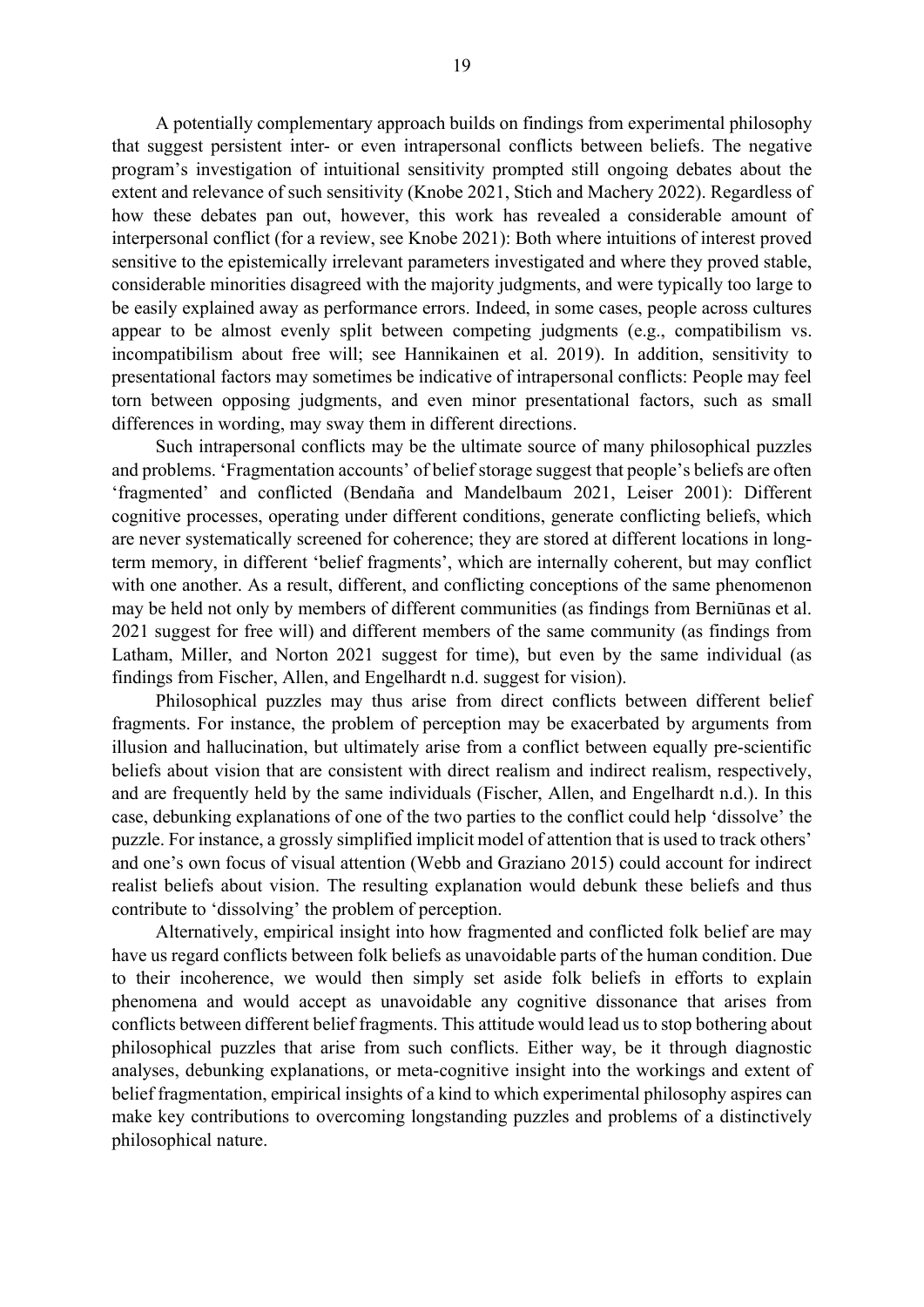A potentially complementary approach builds on findings from experimental philosophy that suggest persistent inter- or even intrapersonal conflicts between beliefs. The negative program's investigation of intuitional sensitivity prompted still ongoing debates about the extent and relevance of such sensitivity (Knobe 2021, Stich and Machery 2022). Regardless of how these debates pan out, however, this work has revealed a considerable amount of interpersonal conflict (for a review, see Knobe 2021): Both where intuitions of interest proved sensitive to the epistemically irrelevant parameters investigated and where they proved stable, considerable minorities disagreed with the majority judgments, and were typically too large to be easily explained away as performance errors. Indeed, in some cases, people across cultures appear to be almost evenly split between competing judgments (e.g., compatibilism vs. incompatibilism about free will; see Hannikainen et al. 2019). In addition, sensitivity to presentational factors may sometimes be indicative of intrapersonal conflicts: People may feel torn between opposing judgments, and even minor presentational factors, such as small differences in wording, may sway them in different directions.

Such intrapersonal conflicts may be the ultimate source of many philosophical puzzles and problems. 'Fragmentation accounts' of belief storage suggest that people's beliefs are often 'fragmented' and conflicted (Bendaña and Mandelbaum 2021, Leiser 2001): Different cognitive processes, operating under different conditions, generate conflicting beliefs, which are never systematically screened for coherence; they are stored at different locations in longterm memory, in different 'belief fragments', which are internally coherent, but may conflict with one another. As a result, different, and conflicting conceptions of the same phenomenon may be held not only by members of different communities (as findings from Berniūnas et al. 2021 suggest for free will) and different members of the same community (as findings from Latham, Miller, and Norton 2021 suggest for time), but even by the same individual (as findings from Fischer, Allen, and Engelhardt n.d. suggest for vision).

Philosophical puzzles may thus arise from direct conflicts between different belief fragments. For instance, the problem of perception may be exacerbated by arguments from illusion and hallucination, but ultimately arise from a conflict between equally pre-scientific beliefs about vision that are consistent with direct realism and indirect realism, respectively, and are frequently held by the same individuals (Fischer, Allen, and Engelhardt n.d.). In this case, debunking explanations of one of the two parties to the conflict could help 'dissolve' the puzzle. For instance, a grossly simplified implicit model of attention that is used to track others' and one's own focus of visual attention (Webb and Graziano 2015) could account for indirect realist beliefs about vision. The resulting explanation would debunk these beliefs and thus contribute to 'dissolving' the problem of perception.

Alternatively, empirical insight into how fragmented and conflicted folk belief are may have us regard conflicts between folk beliefs as unavoidable parts of the human condition. Due to their incoherence, we would then simply set aside folk beliefs in efforts to explain phenomena and would accept as unavoidable any cognitive dissonance that arises from conflicts between different belief fragments. This attitude would lead us to stop bothering about philosophical puzzles that arise from such conflicts. Either way, be it through diagnostic analyses, debunking explanations, or meta-cognitive insight into the workings and extent of belief fragmentation, empirical insights of a kind to which experimental philosophy aspires can make key contributions to overcoming longstanding puzzles and problems of a distinctively philosophical nature.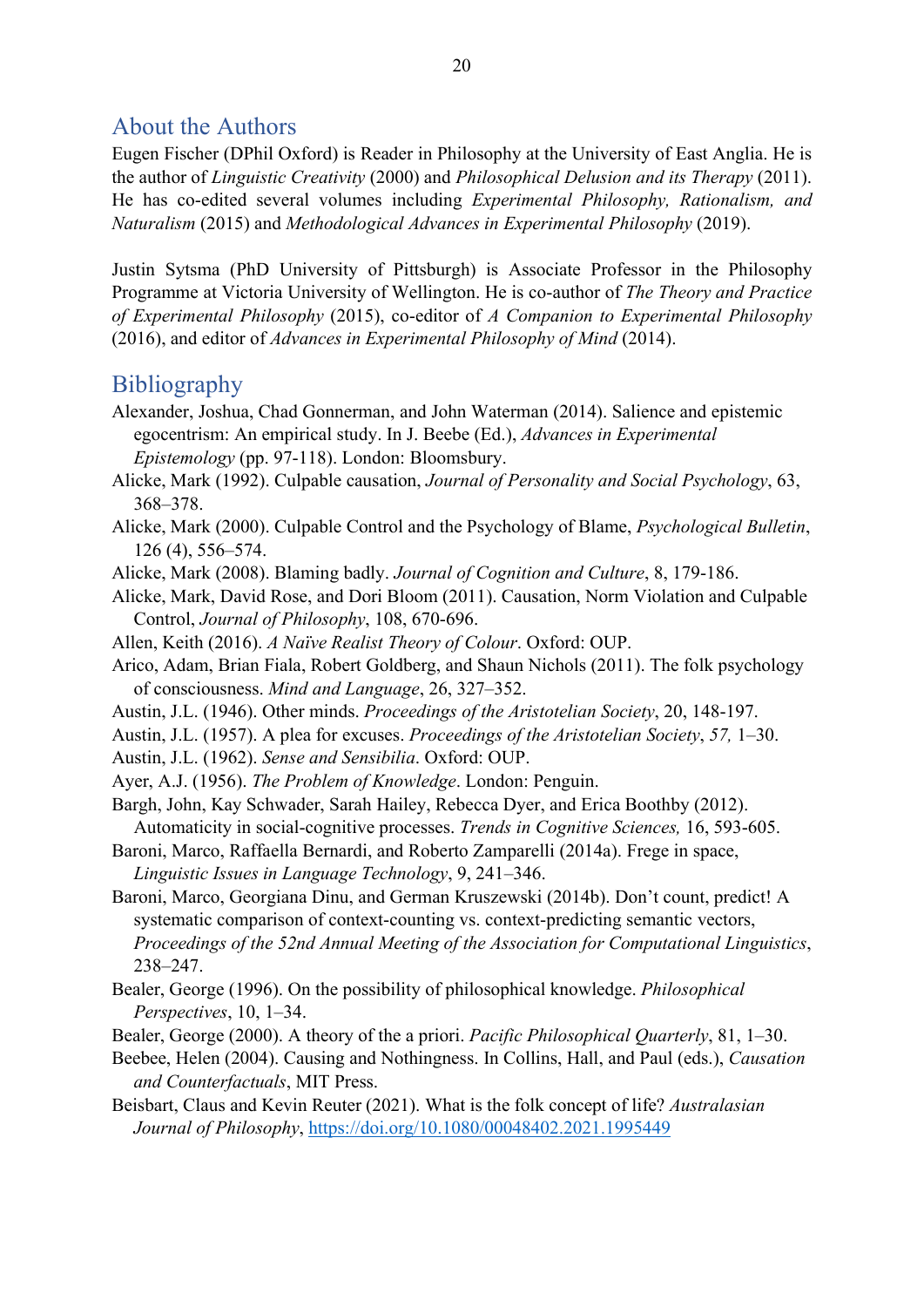# About the Authors

Eugen Fischer (DPhil Oxford) is Reader in Philosophy at the University of East Anglia. He is the author of Linguistic Creativity (2000) and Philosophical Delusion and its Therapy (2011). He has co-edited several volumes including Experimental Philosophy, Rationalism, and Naturalism (2015) and Methodological Advances in Experimental Philosophy (2019).

Justin Sytsma (PhD University of Pittsburgh) is Associate Professor in the Philosophy Programme at Victoria University of Wellington. He is co-author of The Theory and Practice of Experimental Philosophy (2015), co-editor of A Companion to Experimental Philosophy (2016), and editor of Advances in Experimental Philosophy of Mind (2014).

# **Bibliography**

- Alexander, Joshua, Chad Gonnerman, and John Waterman (2014). Salience and epistemic egocentrism: An empirical study. In J. Beebe (Ed.), Advances in Experimental Epistemology (pp. 97-118). London: Bloomsbury.
- Alicke, Mark (1992). Culpable causation, Journal of Personality and Social Psychology, 63, 368–378.
- Alicke, Mark (2000). Culpable Control and the Psychology of Blame, Psychological Bulletin, 126 (4), 556–574.
- Alicke, Mark (2008). Blaming badly. Journal of Cognition and Culture, 8, 179-186.

Alicke, Mark, David Rose, and Dori Bloom (2011). Causation, Norm Violation and Culpable Control, Journal of Philosophy, 108, 670-696.

Allen, Keith (2016). A Naïve Realist Theory of Colour. Oxford: OUP.

Arico, Adam, Brian Fiala, Robert Goldberg, and Shaun Nichols (2011). The folk psychology of consciousness. Mind and Language, 26, 327–352.

- Austin, J.L. (1946). Other minds. Proceedings of the Aristotelian Society, 20, 148-197.
- Austin, J.L. (1957). A plea for excuses. Proceedings of the Aristotelian Society, 57, 1–30.

Austin, J.L. (1962). Sense and Sensibilia. Oxford: OUP.

Ayer, A.J. (1956). The Problem of Knowledge. London: Penguin.

Bargh, John, Kay Schwader, Sarah Hailey, Rebecca Dyer, and Erica Boothby (2012). Automaticity in social-cognitive processes. Trends in Cognitive Sciences, 16, 593-605.

Baroni, Marco, Raffaella Bernardi, and Roberto Zamparelli (2014a). Frege in space, Linguistic Issues in Language Technology, 9, 241–346.

- Baroni, Marco, Georgiana Dinu, and German Kruszewski (2014b). Don't count, predict! A systematic comparison of context-counting vs. context-predicting semantic vectors, Proceedings of the 52nd Annual Meeting of the Association for Computational Linguistics, 238–247.
- Bealer, George (1996). On the possibility of philosophical knowledge. Philosophical Perspectives, 10, 1–34.
- Bealer, George (2000). A theory of the a priori. Pacific Philosophical Quarterly, 81, 1–30.
- Beebee, Helen (2004). Causing and Nothingness. In Collins, Hall, and Paul (eds.), Causation and Counterfactuals, MIT Press.
- Beisbart, Claus and Kevin Reuter (2021). What is the folk concept of life? Australasian Journal of Philosophy, https://doi.org/10.1080/00048402.2021.1995449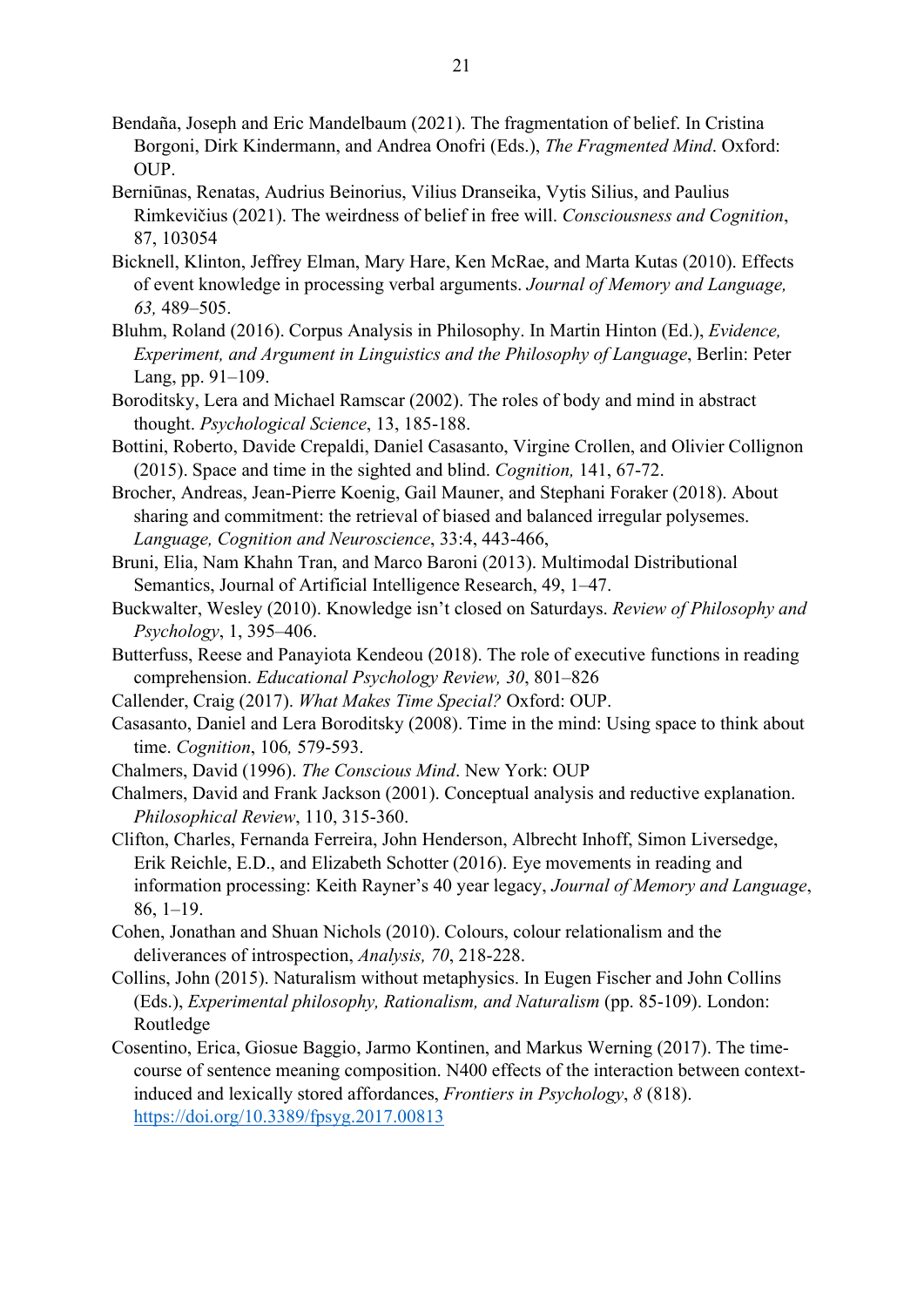- Bendaña, Joseph and Eric Mandelbaum (2021). The fragmentation of belief. In Cristina Borgoni, Dirk Kindermann, and Andrea Onofri (Eds.), The Fragmented Mind. Oxford: OUP.
- Berniūnas, Renatas, Audrius Beinorius, Vilius Dranseika, Vytis Silius, and Paulius Rimkevičius (2021). The weirdness of belief in free will. Consciousness and Cognition, 87, 103054
- Bicknell, Klinton, Jeffrey Elman, Mary Hare, Ken McRae, and Marta Kutas (2010). Effects of event knowledge in processing verbal arguments. Journal of Memory and Language, 63, 489–505.
- Bluhm, Roland (2016). Corpus Analysis in Philosophy. In Martin Hinton (Ed.), Evidence, Experiment, and Argument in Linguistics and the Philosophy of Language, Berlin: Peter Lang, pp. 91–109.
- Boroditsky, Lera and Michael Ramscar (2002). The roles of body and mind in abstract thought. Psychological Science, 13, 185-188.
- Bottini, Roberto, Davide Crepaldi, Daniel Casasanto, Virgine Crollen, and Olivier Collignon (2015). Space and time in the sighted and blind. Cognition, 141, 67-72.
- Brocher, Andreas, Jean-Pierre Koenig, Gail Mauner, and Stephani Foraker (2018). About sharing and commitment: the retrieval of biased and balanced irregular polysemes. Language, Cognition and Neuroscience, 33:4, 443-466,
- Bruni, Elia, Nam Khahn Tran, and Marco Baroni (2013). Multimodal Distributional Semantics, Journal of Artificial Intelligence Research, 49, 1–47.
- Buckwalter, Wesley (2010). Knowledge isn't closed on Saturdays. Review of Philosophy and Psychology, 1, 395–406.
- Butterfuss, Reese and Panayiota Kendeou (2018). The role of executive functions in reading comprehension. Educational Psychology Review, 30, 801–826
- Callender, Craig (2017). What Makes Time Special? Oxford: OUP.
- Casasanto, Daniel and Lera Boroditsky (2008). Time in the mind: Using space to think about time. Cognition, 106, 579-593.
- Chalmers, David (1996). The Conscious Mind. New York: OUP
- Chalmers, David and Frank Jackson (2001). Conceptual analysis and reductive explanation. Philosophical Review, 110, 315‐360.
- Clifton, Charles, Fernanda Ferreira, John Henderson, Albrecht Inhoff, Simon Liversedge, Erik Reichle, E.D., and Elizabeth Schotter (2016). Eye movements in reading and information processing: Keith Rayner's 40 year legacy, Journal of Memory and Language, 86, 1–19.
- Cohen, Jonathan and Shuan Nichols (2010). Colours, colour relationalism and the deliverances of introspection, Analysis, 70, 218-228.
- Collins, John (2015). Naturalism without metaphysics. In Eugen Fischer and John Collins (Eds.), Experimental philosophy, Rationalism, and Naturalism (pp. 85-109). London: Routledge
- Cosentino, Erica, Giosue Baggio, Jarmo Kontinen, and Markus Werning (2017). The timecourse of sentence meaning composition. N400 effects of the interaction between contextinduced and lexically stored affordances, Frontiers in Psychology, 8 (818). https://doi.org/10.3389/fpsyg.2017.00813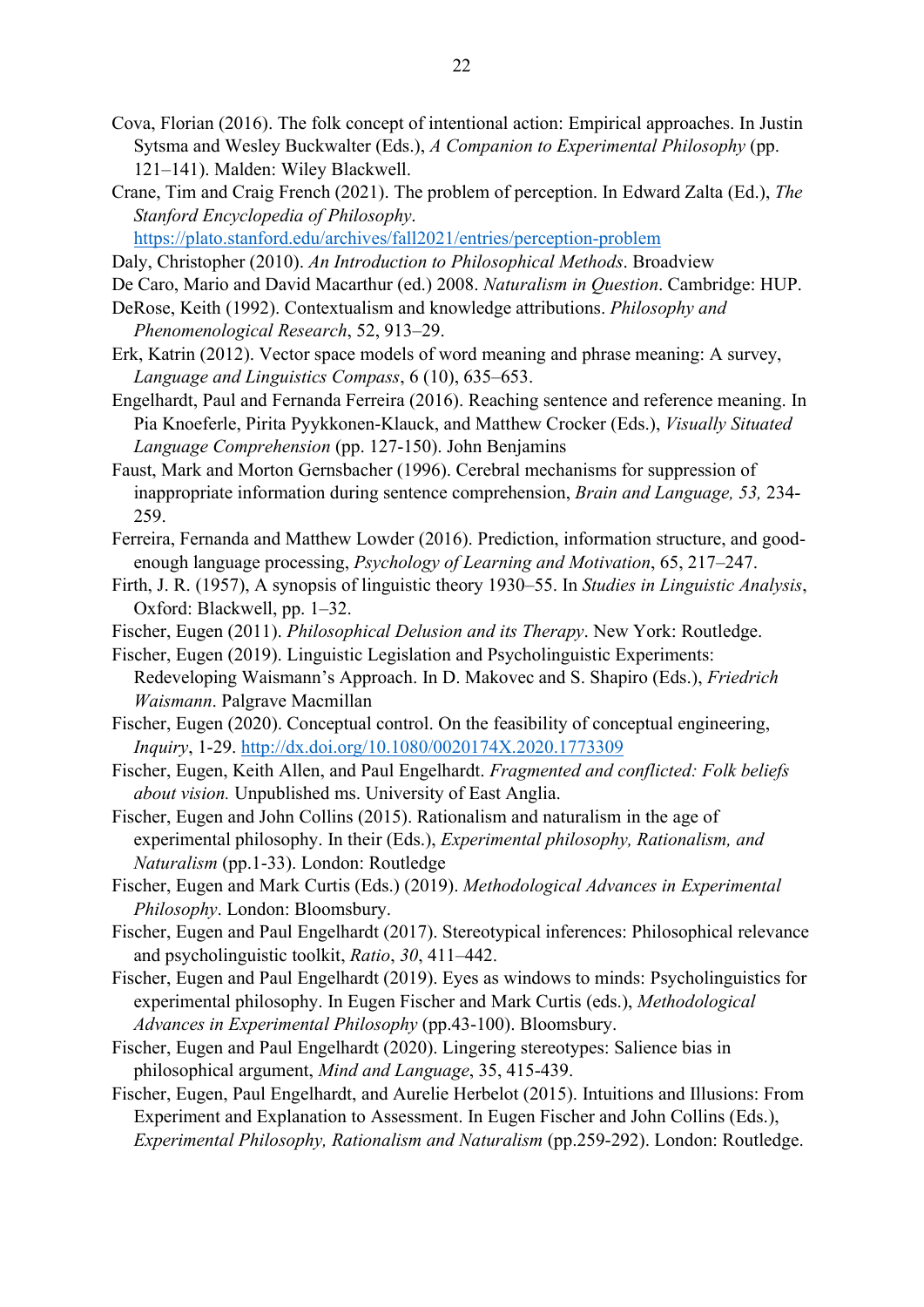- Cova, Florian (2016). The folk concept of intentional action: Empirical approaches. In Justin Sytsma and Wesley Buckwalter (Eds.), A Companion to Experimental Philosophy (pp. 121–141). Malden: Wiley Blackwell.
- Crane, Tim and Craig French (2021). The problem of perception. In Edward Zalta (Ed.), The Stanford Encyclopedia of Philosophy.

https://plato.stanford.edu/archives/fall2021/entries/perception-problem

- Daly, Christopher (2010). An Introduction to Philosophical Methods. Broadview
- De Caro, Mario and David Macarthur (ed.) 2008. Naturalism in Question. Cambridge: HUP.
- DeRose, Keith (1992). Contextualism and knowledge attributions. Philosophy and Phenomenological Research, 52, 913–29.
- Erk, Katrin (2012). Vector space models of word meaning and phrase meaning: A survey, Language and Linguistics Compass, 6 (10), 635–653.
- Engelhardt, Paul and Fernanda Ferreira (2016). Reaching sentence and reference meaning. In Pia Knoeferle, Pirita Pyykkonen-Klauck, and Matthew Crocker (Eds.), Visually Situated Language Comprehension (pp. 127-150). John Benjamins
- Faust, Mark and Morton Gernsbacher (1996). Cerebral mechanisms for suppression of inappropriate information during sentence comprehension, Brain and Language, 53, 234- 259.
- Ferreira, Fernanda and Matthew Lowder (2016). Prediction, information structure, and goodenough language processing, Psychology of Learning and Motivation, 65, 217–247.
- Firth, J. R. (1957), A synopsis of linguistic theory 1930–55. In Studies in Linguistic Analysis, Oxford: Blackwell, pp. 1–32.
- Fischer, Eugen (2011). Philosophical Delusion and its Therapy. New York: Routledge.
- Fischer, Eugen (2019). Linguistic Legislation and Psycholinguistic Experiments: Redeveloping Waismann's Approach. In D. Makovec and S. Shapiro (Eds.), Friedrich Waismann. Palgrave Macmillan
- Fischer, Eugen (2020). Conceptual control. On the feasibility of conceptual engineering, Inquiry, 1-29. http://dx.doi.org/10.1080/0020174X.2020.1773309
- Fischer, Eugen, Keith Allen, and Paul Engelhardt. Fragmented and conflicted: Folk beliefs about vision. Unpublished ms. University of East Anglia.
- Fischer, Eugen and John Collins (2015). Rationalism and naturalism in the age of experimental philosophy. In their (Eds.), Experimental philosophy, Rationalism, and Naturalism (pp.1-33). London: Routledge
- Fischer, Eugen and Mark Curtis (Eds.) (2019). Methodological Advances in Experimental Philosophy. London: Bloomsbury.
- Fischer, Eugen and Paul Engelhardt (2017). Stereotypical inferences: Philosophical relevance and psycholinguistic toolkit, Ratio, 30, 411–442.
- Fischer, Eugen and Paul Engelhardt (2019). Eyes as windows to minds: Psycholinguistics for experimental philosophy. In Eugen Fischer and Mark Curtis (eds.), Methodological Advances in Experimental Philosophy (pp.43-100). Bloomsbury.
- Fischer, Eugen and Paul Engelhardt (2020). Lingering stereotypes: Salience bias in philosophical argument, Mind and Language, 35, 415-439.
- Fischer, Eugen, Paul Engelhardt, and Aurelie Herbelot (2015). Intuitions and Illusions: From Experiment and Explanation to Assessment. In Eugen Fischer and John Collins (Eds.), Experimental Philosophy, Rationalism and Naturalism (pp.259-292). London: Routledge.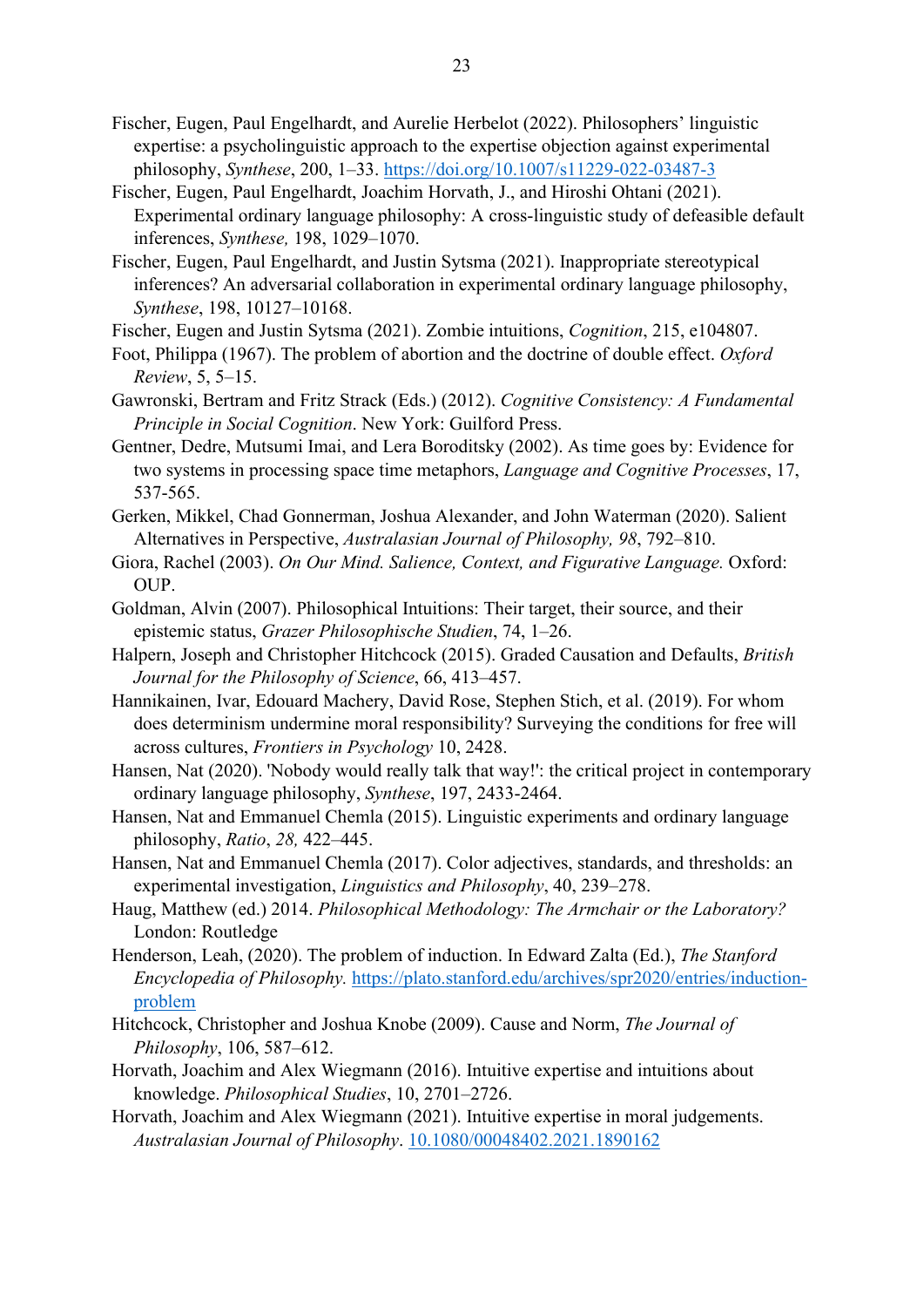- Fischer, Eugen, Paul Engelhardt, and Aurelie Herbelot (2022). Philosophers' linguistic expertise: a psycholinguistic approach to the expertise objection against experimental philosophy, Synthese, 200, 1–33. https://doi.org/10.1007/s11229-022-03487-3
- Fischer, Eugen, Paul Engelhardt, Joachim Horvath, J., and Hiroshi Ohtani (2021). Experimental ordinary language philosophy: A cross-linguistic study of defeasible default inferences, Synthese, 198, 1029–1070.
- Fischer, Eugen, Paul Engelhardt, and Justin Sytsma (2021). Inappropriate stereotypical inferences? An adversarial collaboration in experimental ordinary language philosophy, Synthese, 198, 10127–10168.
- Fischer, Eugen and Justin Sytsma (2021). Zombie intuitions, Cognition, 215, e104807.
- Foot, Philippa (1967). The problem of abortion and the doctrine of double effect. Oxford Review, 5, 5–15.
- Gawronski, Bertram and Fritz Strack (Eds.) (2012). Cognitive Consistency: A Fundamental Principle in Social Cognition. New York: Guilford Press.
- Gentner, Dedre, Mutsumi Imai, and Lera Boroditsky (2002). As time goes by: Evidence for two systems in processing space time metaphors, Language and Cognitive Processes, 17, 537-565.
- Gerken, Mikkel, Chad Gonnerman, Joshua Alexander, and John Waterman (2020). Salient Alternatives in Perspective, Australasian Journal of Philosophy, 98, 792–810.
- Giora, Rachel (2003). On Our Mind. Salience, Context, and Figurative Language. Oxford: OUP.
- Goldman, Alvin (2007). Philosophical Intuitions: Their target, their source, and their epistemic status, Grazer Philosophische Studien, 74, 1–26.
- Halpern, Joseph and Christopher Hitchcock (2015). Graded Causation and Defaults, British Journal for the Philosophy of Science, 66, 413–457.
- Hannikainen, Ivar, Edouard Machery, David Rose, Stephen Stich, et al. (2019). For whom does determinism undermine moral responsibility? Surveying the conditions for free will across cultures, Frontiers in Psychology 10, 2428.
- Hansen, Nat (2020). 'Nobody would really talk that way!': the critical project in contemporary ordinary language philosophy, Synthese, 197, 2433-2464.
- Hansen, Nat and Emmanuel Chemla (2015). Linguistic experiments and ordinary language philosophy, Ratio, 28, 422–445.
- Hansen, Nat and Emmanuel Chemla (2017). Color adjectives, standards, and thresholds: an experimental investigation, Linguistics and Philosophy, 40, 239–278.
- Haug, Matthew (ed.) 2014. Philosophical Methodology: The Armchair or the Laboratory? London: Routledge
- Henderson, Leah, (2020). The problem of induction. In Edward Zalta (Ed.), The Stanford Encyclopedia of Philosophy. https://plato.stanford.edu/archives/spr2020/entries/inductionproblem
- Hitchcock, Christopher and Joshua Knobe (2009). Cause and Norm, The Journal of Philosophy, 106, 587–612.
- Horvath, Joachim and Alex Wiegmann (2016). Intuitive expertise and intuitions about knowledge. Philosophical Studies, 10, 2701–2726.
- Horvath, Joachim and Alex Wiegmann (2021). Intuitive expertise in moral judgements. Australasian Journal of Philosophy. 10.1080/00048402.2021.1890162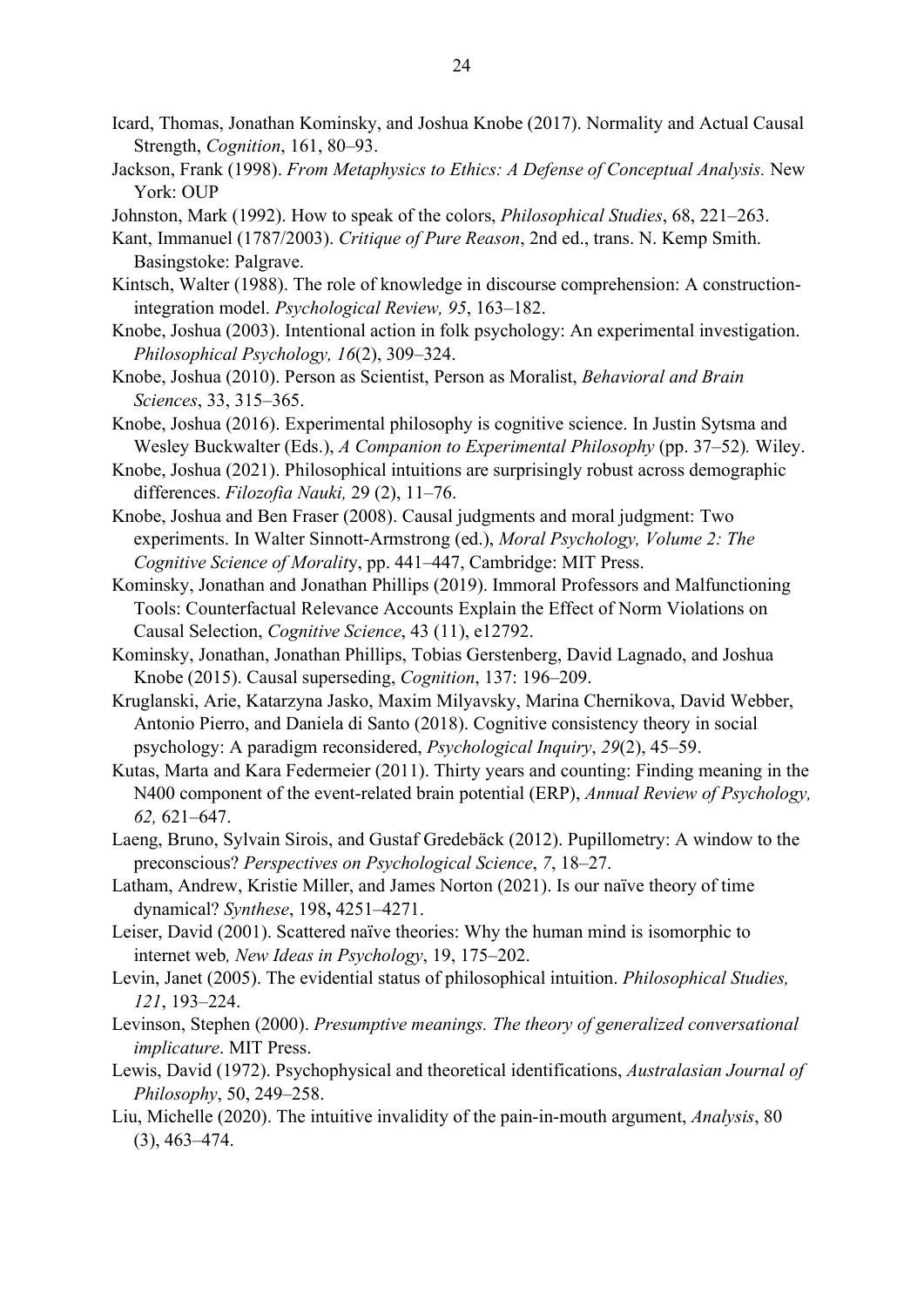- Icard, Thomas, Jonathan Kominsky, and Joshua Knobe (2017). Normality and Actual Causal Strength, Cognition, 161, 80–93.
- Jackson, Frank (1998). From Metaphysics to Ethics: A Defense of Conceptual Analysis. New York: OUP
- Johnston, Mark (1992). How to speak of the colors, Philosophical Studies, 68, 221–263.
- Kant, Immanuel (1787/2003). Critique of Pure Reason, 2nd ed., trans. N. Kemp Smith. Basingstoke: Palgrave.
- Kintsch, Walter (1988). The role of knowledge in discourse comprehension: A constructionintegration model. Psychological Review, 95, 163–182.
- Knobe, Joshua (2003). Intentional action in folk psychology: An experimental investigation. Philosophical Psychology, 16(2), 309–324.
- Knobe, Joshua (2010). Person as Scientist, Person as Moralist, Behavioral and Brain Sciences, 33, 315–365.
- Knobe, Joshua (2016). Experimental philosophy is cognitive science. In Justin Sytsma and Wesley Buckwalter (Eds.), A Companion to Experimental Philosophy (pp. 37–52). Wiley.
- Knobe, Joshua (2021). Philosophical intuitions are surprisingly robust across demographic differences. Filozofia Nauki, 29 (2), 11–76.
- Knobe, Joshua and Ben Fraser (2008). Causal judgments and moral judgment: Two experiments. In Walter Sinnott-Armstrong (ed.), Moral Psychology, Volume 2: The Cognitive Science of Morality, pp. 441–447, Cambridge: MIT Press.
- Kominsky, Jonathan and Jonathan Phillips (2019). Immoral Professors and Malfunctioning Tools: Counterfactual Relevance Accounts Explain the Effect of Norm Violations on Causal Selection, Cognitive Science, 43 (11), e12792.
- Kominsky, Jonathan, Jonathan Phillips, Tobias Gerstenberg, David Lagnado, and Joshua Knobe (2015). Causal superseding, Cognition, 137: 196–209.
- Kruglanski, Arie, Katarzyna Jasko, Maxim Milyavsky, Marina Chernikova, David Webber, Antonio Pierro, and Daniela di Santo (2018). Cognitive consistency theory in social psychology: A paradigm reconsidered, Psychological Inquiry, 29(2), 45–59.
- Kutas, Marta and Kara Federmeier (2011). Thirty years and counting: Finding meaning in the N400 component of the event-related brain potential (ERP), Annual Review of Psychology, 62, 621–647.
- Laeng, Bruno, Sylvain Sirois, and Gustaf Gredebäck (2012). Pupillometry: A window to the preconscious? Perspectives on Psychological Science, 7, 18–27.
- Latham, Andrew, Kristie Miller, and James Norton (2021). Is our naïve theory of time dynamical? Synthese, 198, 4251–4271.
- Leiser, David (2001). Scattered naïve theories: Why the human mind is isomorphic to internet web, New Ideas in Psychology, 19, 175–202.
- Levin, Janet (2005). The evidential status of philosophical intuition. Philosophical Studies, 121, 193–224.
- Levinson, Stephen (2000). Presumptive meanings. The theory of generalized conversational implicature. MIT Press.
- Lewis, David (1972). Psychophysical and theoretical identifications, Australasian Journal of Philosophy, 50, 249–258.
- Liu, Michelle (2020). The intuitive invalidity of the pain-in-mouth argument, Analysis, 80 (3), 463–474.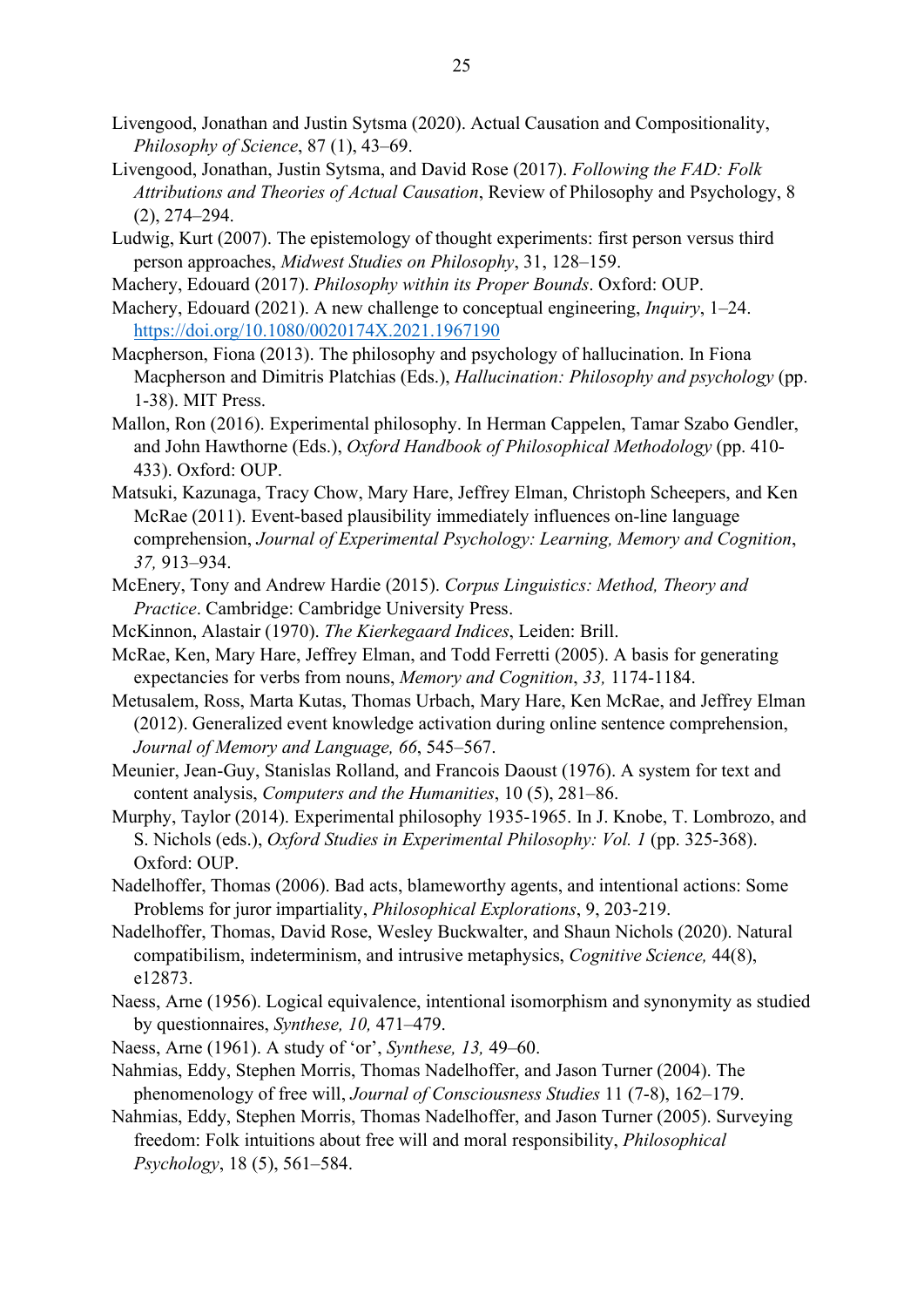- Livengood, Jonathan and Justin Sytsma (2020). Actual Causation and Compositionality, Philosophy of Science, 87 (1), 43–69.
- Livengood, Jonathan, Justin Sytsma, and David Rose (2017). Following the FAD: Folk Attributions and Theories of Actual Causation, Review of Philosophy and Psychology, 8 (2), 274–294.
- Ludwig, Kurt (2007). The epistemology of thought experiments: first person versus third person approaches, Midwest Studies on Philosophy, 31, 128–159.
- Machery, Edouard (2017). Philosophy within its Proper Bounds. Oxford: OUP.
- Machery, Edouard (2021). A new challenge to conceptual engineering, *Inquiry*, 1–24. https://doi.org/10.1080/0020174X.2021.1967190
- Macpherson, Fiona (2013). The philosophy and psychology of hallucination. In Fiona Macpherson and Dimitris Platchias (Eds.), Hallucination: Philosophy and psychology (pp. 1-38). MIT Press.
- Mallon, Ron (2016). Experimental philosophy. In Herman Cappelen, Tamar Szabo Gendler, and John Hawthorne (Eds.), Oxford Handbook of Philosophical Methodology (pp. 410- 433). Oxford: OUP.
- Matsuki, Kazunaga, Tracy Chow, Mary Hare, Jeffrey Elman, Christoph Scheepers, and Ken McRae (2011). Event-based plausibility immediately influences on-line language comprehension, Journal of Experimental Psychology: Learning, Memory and Cognition, 37, 913–934.
- McEnery, Tony and Andrew Hardie (2015). Corpus Linguistics: Method, Theory and Practice. Cambridge: Cambridge University Press.
- McKinnon, Alastair (1970). The Kierkegaard Indices, Leiden: Brill.
- McRae, Ken, Mary Hare, Jeffrey Elman, and Todd Ferretti (2005). A basis for generating expectancies for verbs from nouns, Memory and Cognition, 33, 1174-1184.
- Metusalem, Ross, Marta Kutas, Thomas Urbach, Mary Hare, Ken McRae, and Jeffrey Elman (2012). Generalized event knowledge activation during online sentence comprehension, Journal of Memory and Language, 66, 545–567.
- Meunier, Jean-Guy, Stanislas Rolland, and Francois Daoust (1976). A system for text and content analysis, Computers and the Humanities, 10 (5), 281–86.
- Murphy, Taylor (2014). Experimental philosophy 1935-1965. In J. Knobe, T. Lombrozo, and S. Nichols (eds.), Oxford Studies in Experimental Philosophy: Vol. 1 (pp. 325-368). Oxford: OUP.
- Nadelhoffer, Thomas (2006). Bad acts, blameworthy agents, and intentional actions: Some Problems for juror impartiality, Philosophical Explorations, 9, 203‐219.
- Nadelhoffer, Thomas, David Rose, Wesley Buckwalter, and Shaun Nichols (2020). Natural compatibilism, indeterminism, and intrusive metaphysics, Cognitive Science, 44(8), e12873.
- Naess, Arne (1956). Logical equivalence, intentional isomorphism and synonymity as studied by questionnaires, Synthese, 10, 471–479.
- Naess, Arne (1961). A study of 'or', Synthese, 13, 49–60.
- Nahmias, Eddy, Stephen Morris, Thomas Nadelhoffer, and Jason Turner (2004). The phenomenology of free will, Journal of Consciousness Studies 11 (7-8), 162–179.
- Nahmias, Eddy, Stephen Morris, Thomas Nadelhoffer, and Jason Turner (2005). Surveying freedom: Folk intuitions about free will and moral responsibility, Philosophical Psychology, 18 (5), 561–584.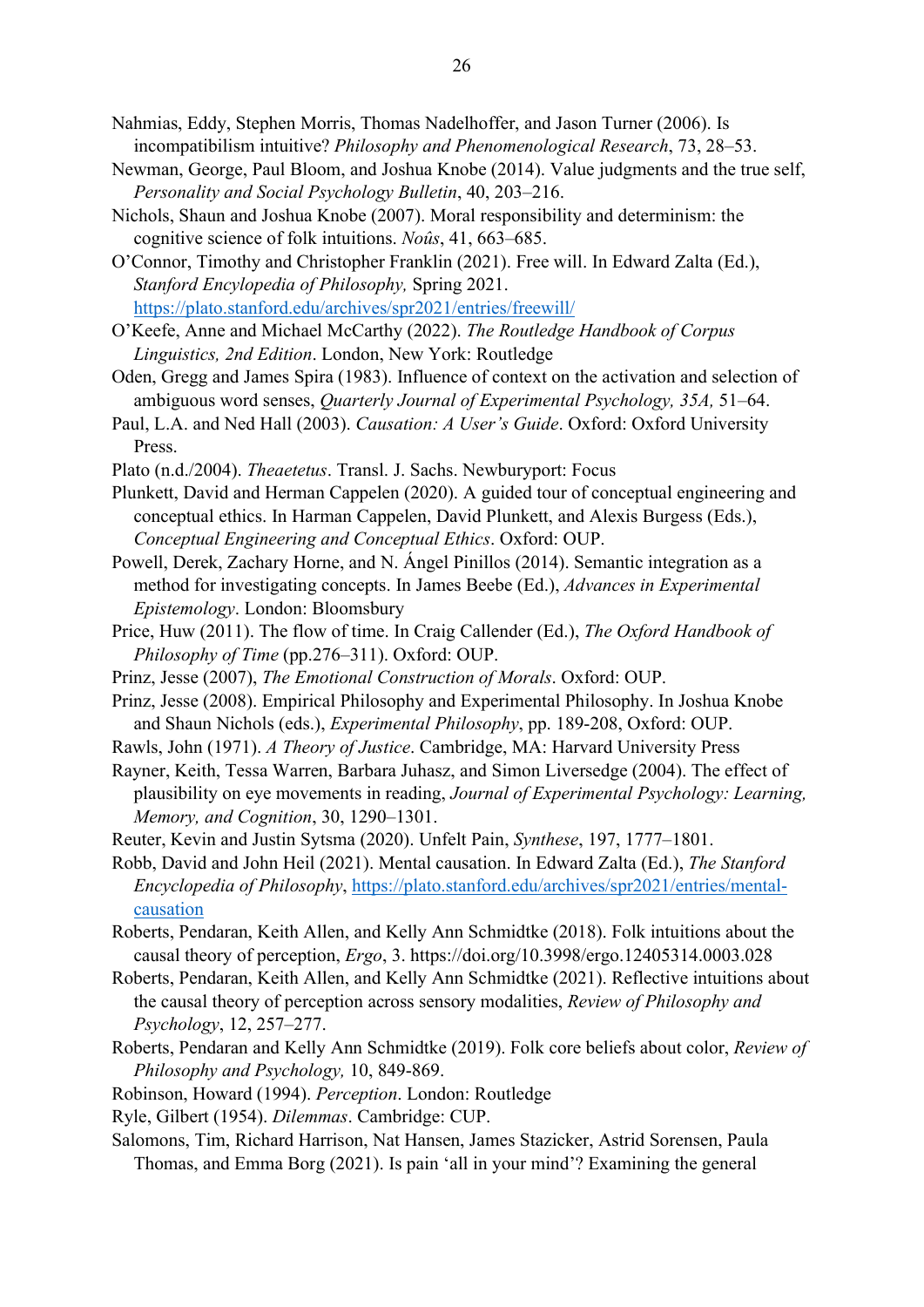- Nahmias, Eddy, Stephen Morris, Thomas Nadelhoffer, and Jason Turner (2006). Is incompatibilism intuitive? Philosophy and Phenomenological Research, 73, 28–53.
- Newman, George, Paul Bloom, and Joshua Knobe (2014). Value judgments and the true self, Personality and Social Psychology Bulletin, 40, 203–216.
- Nichols, Shaun and Joshua Knobe (2007). Moral responsibility and determinism: the cognitive science of folk intuitions. Noûs, 41, 663–685.
- O'Connor, Timothy and Christopher Franklin (2021). Free will. In Edward Zalta (Ed.), Stanford Encylopedia of Philosophy, Spring 2021. https://plato.stanford.edu/archives/spr2021/entries/freewill/
- O'Keefe, Anne and Michael McCarthy (2022). The Routledge Handbook of Corpus Linguistics, 2nd Edition. London, New York: Routledge
- Oden, Gregg and James Spira (1983). Influence of context on the activation and selection of ambiguous word senses, Quarterly Journal of Experimental Psychology, 35A, 51–64.
- Paul, L.A. and Ned Hall (2003). Causation: A User's Guide. Oxford: Oxford University Press.
- Plato (n.d./2004). Theaetetus. Transl. J. Sachs. Newburyport: Focus
- Plunkett, David and Herman Cappelen (2020). A guided tour of conceptual engineering and conceptual ethics. In Harman Cappelen, David Plunkett, and Alexis Burgess (Eds.), Conceptual Engineering and Conceptual Ethics. Oxford: OUP.
- Powell, Derek, Zachary Horne, and N. Ángel Pinillos (2014). Semantic integration as a method for investigating concepts. In James Beebe (Ed.), Advances in Experimental Epistemology. London: Bloomsbury
- Price, Huw (2011). The flow of time. In Craig Callender (Ed.), The Oxford Handbook of Philosophy of Time (pp.276–311). Oxford: OUP.
- Prinz, Jesse (2007), The Emotional Construction of Morals. Oxford: OUP.
- Prinz, Jesse (2008). Empirical Philosophy and Experimental Philosophy. In Joshua Knobe and Shaun Nichols (eds.), Experimental Philosophy, pp. 189-208, Oxford: OUP.
- Rawls, John (1971). A Theory of Justice. Cambridge, MA: Harvard University Press
- Rayner, Keith, Tessa Warren, Barbara Juhasz, and Simon Liversedge (2004). The effect of plausibility on eye movements in reading, Journal of Experimental Psychology: Learning, Memory, and Cognition, 30, 1290-1301.
- Reuter, Kevin and Justin Sytsma (2020). Unfelt Pain, Synthese, 197, 1777–1801.
- Robb, David and John Heil (2021). Mental causation. In Edward Zalta (Ed.), The Stanford Encyclopedia of Philosophy, https://plato.stanford.edu/archives/spr2021/entries/mentalcausation
- Roberts, Pendaran, Keith Allen, and Kelly Ann Schmidtke (2018). Folk intuitions about the causal theory of perception, Ergo, 3. https://doi.org/10.3998/ergo.12405314.0003.028
- Roberts, Pendaran, Keith Allen, and Kelly Ann Schmidtke (2021). Reflective intuitions about the causal theory of perception across sensory modalities, Review of Philosophy and Psychology, 12, 257–277.
- Roberts, Pendaran and Kelly Ann Schmidtke (2019). Folk core beliefs about color, Review of Philosophy and Psychology, 10, 849-869.
- Robinson, Howard (1994). Perception. London: Routledge
- Ryle, Gilbert (1954). Dilemmas. Cambridge: CUP.
- Salomons, Tim, Richard Harrison, Nat Hansen, James Stazicker, Astrid Sorensen, Paula Thomas, and Emma Borg (2021). Is pain 'all in your mind'? Examining the general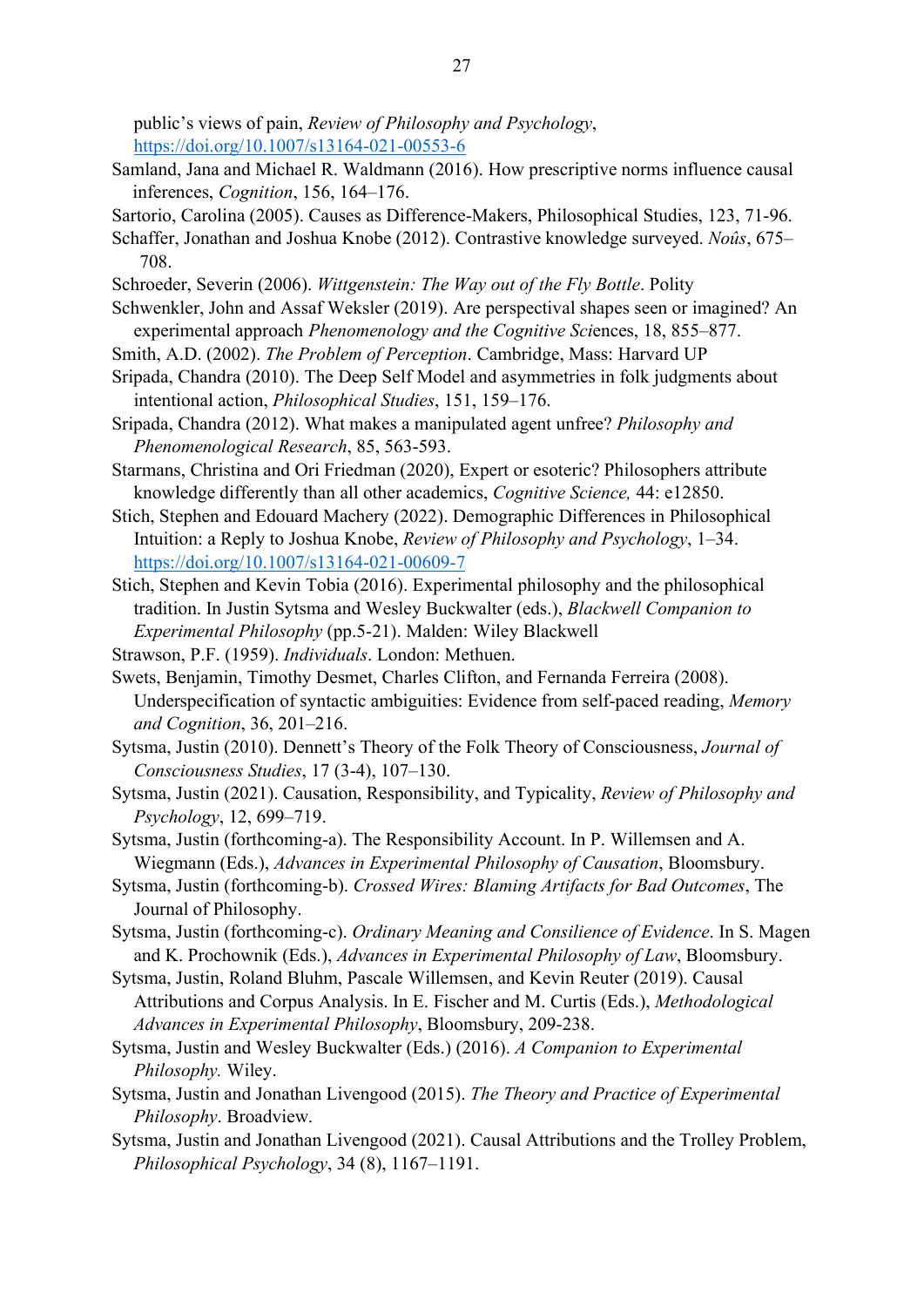public's views of pain, Review of Philosophy and Psychology, https://doi.org/10.1007/s13164-021-00553-6

- Samland, Jana and Michael R. Waldmann (2016). How prescriptive norms influence causal inferences, Cognition, 156, 164–176.
- Sartorio, Carolina (2005). Causes as Difference-Makers, Philosophical Studies, 123, 71-96.
- Schaffer, Jonathan and Joshua Knobe (2012). Contrastive knowledge surveyed. Noûs, 675– 708.
- Schroeder, Severin (2006). Wittgenstein: The Way out of the Fly Bottle. Polity
- Schwenkler, John and Assaf Weksler (2019). Are perspectival shapes seen or imagined? An experimental approach Phenomenology and the Cognitive Sciences, 18, 855–877.
- Smith, A.D. (2002). The Problem of Perception. Cambridge, Mass: Harvard UP
- Sripada, Chandra (2010). The Deep Self Model and asymmetries in folk judgments about intentional action, Philosophical Studies, 151, 159–176.
- Sripada, Chandra (2012). What makes a manipulated agent unfree? Philosophy and Phenomenological Research, 85, 563‐593.
- Starmans, Christina and Ori Friedman (2020), Expert or esoteric? Philosophers attribute knowledge differently than all other academics, Cognitive Science, 44: e12850.
- Stich, Stephen and Edouard Machery (2022). Demographic Differences in Philosophical Intuition: a Reply to Joshua Knobe, Review of Philosophy and Psychology, 1–34. https://doi.org/10.1007/s13164-021-00609-7
- Stich, Stephen and Kevin Tobia (2016). Experimental philosophy and the philosophical tradition. In Justin Sytsma and Wesley Buckwalter (eds.), Blackwell Companion to Experimental Philosophy (pp.5-21). Malden: Wiley Blackwell
- Strawson, P.F. (1959). Individuals. London: Methuen.
- Swets, Benjamin, Timothy Desmet, Charles Clifton, and Fernanda Ferreira (2008). Underspecification of syntactic ambiguities: Evidence from self-paced reading, Memory and Cognition, 36, 201–216.
- Sytsma, Justin (2010). Dennett's Theory of the Folk Theory of Consciousness, Journal of Consciousness Studies, 17 (3-4), 107–130.
- Sytsma, Justin (2021). Causation, Responsibility, and Typicality, Review of Philosophy and Psychology, 12, 699–719.
- Sytsma, Justin (forthcoming-a). The Responsibility Account. In P. Willemsen and A. Wiegmann (Eds.), Advances in Experimental Philosophy of Causation, Bloomsbury.
- Sytsma, Justin (forthcoming-b). Crossed Wires: Blaming Artifacts for Bad Outcomes, The Journal of Philosophy.
- Sytsma, Justin (forthcoming-c). Ordinary Meaning and Consilience of Evidence. In S. Magen and K. Prochownik (Eds.), Advances in Experimental Philosophy of Law, Bloomsbury.
- Sytsma, Justin, Roland Bluhm, Pascale Willemsen, and Kevin Reuter (2019). Causal Attributions and Corpus Analysis. In E. Fischer and M. Curtis (Eds.), Methodological Advances in Experimental Philosophy, Bloomsbury, 209-238.
- Sytsma, Justin and Wesley Buckwalter (Eds.) (2016). A Companion to Experimental Philosophy. Wiley.
- Sytsma, Justin and Jonathan Livengood (2015). The Theory and Practice of Experimental Philosophy. Broadview.
- Sytsma, Justin and Jonathan Livengood (2021). Causal Attributions and the Trolley Problem, Philosophical Psychology, 34 (8), 1167–1191.